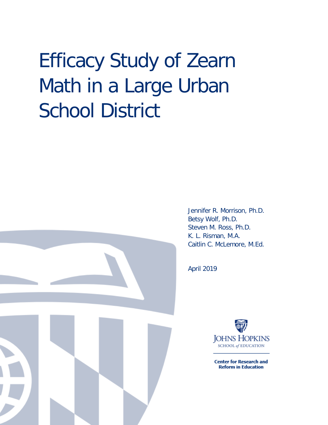# Efficacy Study of Zearn Math in a Large Urban School District



Jennifer R. Morrison, Ph.D. Betsy Wolf, Ph.D. Steven M. Ross, Ph.D. K. L. Risman, M.A. Caitlin C. McLemore, M.Ed.

April 2019



**Center for Research and Reform in Education**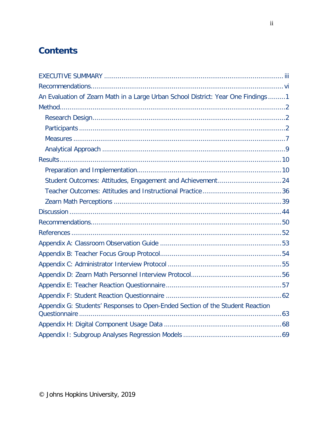# **Contents**

| An Evaluation of Zearn Math in a Large Urban School District: Year One Findings1 |  |
|----------------------------------------------------------------------------------|--|
|                                                                                  |  |
|                                                                                  |  |
|                                                                                  |  |
|                                                                                  |  |
|                                                                                  |  |
|                                                                                  |  |
|                                                                                  |  |
| Student Outcomes: Attitudes, Engagement and Achievement24                        |  |
|                                                                                  |  |
|                                                                                  |  |
|                                                                                  |  |
|                                                                                  |  |
|                                                                                  |  |
|                                                                                  |  |
|                                                                                  |  |
|                                                                                  |  |
|                                                                                  |  |
|                                                                                  |  |
|                                                                                  |  |
| Appendix G: Students' Responses to Open-Ended Section of the Student Reaction    |  |
|                                                                                  |  |
|                                                                                  |  |
|                                                                                  |  |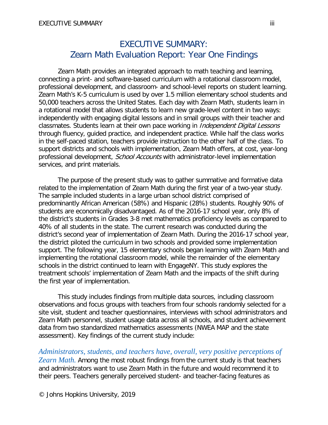# EXECUTIVE SUMMARY: Zearn Math Evaluation Report: Year One Findings

<span id="page-2-0"></span>Zearn Math provides an integrated approach to math teaching and learning, connecting a print- and software-based curriculum with a rotational classroom model, professional development, and classroom- and school-level reports on student learning. Zearn Math's K-5 curriculum is used by over 1.5 million elementary school students and 50,000 teachers across the United States. Each day with Zearn Math, students learn in a rotational model that allows students to learn new grade-level content in two ways: independently with engaging digital lessons and in small groups with their teacher and classmates. Students learn at their own pace working in *Independent Digital Lessons* through fluency, guided practice, and independent practice. While half the class works in the self-paced station, teachers provide instruction to the other half of the class. To support districts and schools with implementation, Zearn Math offers, at cost, year-long professional development, *School Accounts* with administrator-level implementation services, and print materials.

The purpose of the present study was to gather summative and formative data related to the implementation of Zearn Math during the first year of a two-year study. The sample included students in a large urban school district comprised of predominantly African American (58%) and Hispanic (28%) students. Roughly 90% of students are economically disadvantaged. As of the 2016-17 school year, only 8% of the district's students in Grades 3-8 met mathematics proficiency levels as compared to 40% of all students in the state. The current research was conducted during the district's second year of implementation of Zearn Math. During the 2016-17 school year, the district piloted the curriculum in two schools and provided some implementation support. The following year, 15 elementary schools began learning with Zearn Math and implementing the rotational classroom model, while the remainder of the elementary schools in the district continued to learn with EngageNY. This study explores the treatment schools' implementation of Zearn Math and the impacts of the shift during the first year of implementation.

This study includes findings from multiple data sources, including classroom observations and focus groups with teachers from four schools randomly selected for a site visit, student and teacher questionnaires, interviews with school administrators and Zearn Math personnel, student usage data across all schools, and student achievement data from two standardized mathematics assessments (NWEA MAP and the state assessment). Key findings of the current study include:

*Administrators, students, and teachers have, overall, very positive perceptions of Zearn Math.* Among the most robust findings from the current study is that teachers and administrators want to use Zearn Math in the future and would recommend it to their peers. Teachers generally perceived student- and teacher-facing features as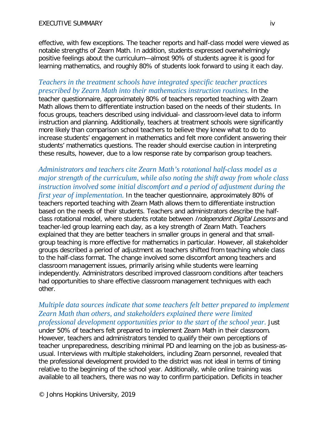effective, with few exceptions. The teacher reports and half-class model were viewed as notable strengths of Zearn Math. In addition, students expressed overwhelmingly positive feelings about the curriculum—almost 90% of students agree it is good for learning mathematics, and roughly 80% of students look forward to using it each day.

## *Teachers in the treatment schools have integrated specific teacher practices prescribed by Zearn Math into their mathematics instruction routines.* In the

teacher questionnaire, approximately 80% of teachers reported teaching with Zearn Math allows them to differentiate instruction based on the needs of their students. In focus groups, teachers described using individual- and classroom-level data to inform instruction and planning. Additionally, teachers at treatment schools were significantly more likely than comparison school teachers to believe they knew what to do to increase students' engagement in mathematics and felt more confident answering their students' mathematics questions. The reader should exercise caution in interpreting these results, however, due to a low response rate by comparison group teachers.

*Administrators and teachers cite Zearn Math's rotational half-class model as a major strength of the curriculum, while also noting the shift away from whole class instruction involved some initial discomfort and a period of adjustment during the first year of implementation.* In the teacher questionnaire, approximately 80% of teachers reported teaching with Zearn Math allows them to differentiate instruction based on the needs of their students. Teachers and administrators describe the halfclass rotational model, where students rotate between *Independent Digital Lessons* and teacher-led group learning each day, as a key strength of Zearn Math. Teachers explained that they are better teachers in smaller groups in general and that smallgroup teaching is more effective for mathematics in particular. However, all stakeholder groups described a period of adjustment as teachers shifted from teaching whole class to the half-class format. The change involved some discomfort among teachers and classroom management issues, primarily arising while students were learning independently. Administrators described improved classroom conditions after teachers had opportunities to share effective classroom management techniques with each other.

# *Multiple data sources indicate that some teachers felt better prepared to implement Zearn Math than others, and stakeholders explained there were limited*

*professional development opportunities prior to the start of the school year.* Just under 50% of teachers felt prepared to implement Zearn Math in their classroom. However, teachers and administrators tended to qualify their own perceptions of teacher unpreparedness, describing minimal PD and learning on the job as business-asusual. Interviews with multiple stakeholders, including Zearn personnel, revealed that the professional development provided to the district was not ideal in terms of timing relative to the beginning of the school year. Additionally, while online training was available to all teachers, there was no way to confirm participation. Deficits in teacher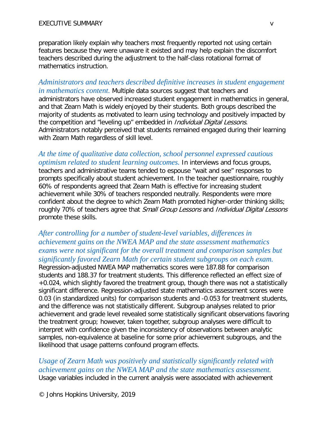preparation likely explain why teachers most frequently reported not using certain features because they were unaware it existed and may help explain the discomfort teachers described during the adjustment to the half-class rotational format of mathematics instruction.

*Administrators and teachers described definitive increases in student engagement in mathematics content.* Multiple data sources suggest that teachers and administrators have observed increased student engagement in mathematics in general, and that Zearn Math is widely enjoyed by their students. Both groups described the majority of students as motivated to learn using technology and positively impacted by the competition and "leveling up" embedded in *Individual Digital Lessons*. Administrators notably perceived that students remained engaged during their learning with Zearn Math regardless of skill level.

*At the time of qualitative data collection, school personnel expressed cautious optimism related to student learning outcomes.* In interviews and focus groups, teachers and administrative teams tended to espouse "wait and see" responses to prompts specifically about student achievement. In the teacher questionnaire, roughly 60% of respondents agreed that Zearn Math is effective for increasing student achievement while 30% of teachers responded neutrally. Respondents were more confident about the degree to which Zearn Math promoted higher-order thinking skills; roughly 70% of teachers agree that Small Group Lessons and Individual Digital Lessons promote these skills.

# *After controlling for a number of student-level variables, differences in achievement gains on the NWEA MAP and the state assessment mathematics exams were not significant for the overall treatment and comparison samples but significantly favored Zearn Math for certain student subgroups on each exam.*

Regression-adjusted NWEA MAP mathematics scores were 187.88 for comparison students and 188.37 for treatment students. This difference reflected an effect size of +0.024, which slightly favored the treatment group, though there was not a statistically significant difference. Regression-adjusted state mathematics assessment scores were 0.03 (in standardized units) for comparison students and -0.053 for treatment students, and the difference was not statistically different. Subgroup analyses related to prior achievement and grade level revealed some statistically significant observations favoring the treatment group; however, taken together, subgroup analyses were difficult to interpret with confidence given the inconsistency of observations between analytic samples, non-equivalence at baseline for some prior achievement subgroups, and the likelihood that usage patterns confound program effects.

*Usage of Zearn Math was positively and statistically significantly related with achievement gains on the NWEA MAP and the state mathematics assessment.*  Usage variables included in the current analysis were associated with achievement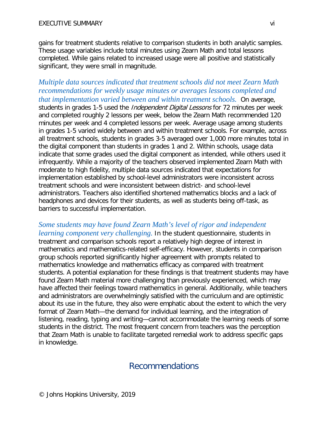gains for treatment students relative to comparison students in both analytic samples. These usage variables include total minutes using Zearn Math and total lessons completed. While gains related to increased usage were all positive and statistically significant, they were small in magnitude.

# *Multiple data sources indicated that treatment schools did not meet Zearn Math recommendations for weekly usage minutes or averages lessons completed and that implementation varied between and within treatment schools.* On average,

students in grades 1-5 used the *Independent Digital Lessons* for 72 minutes per week and completed roughly 2 lessons per week, below the Zearn Math recommended 120 minutes per week and 4 completed lessons per week. Average usage among students in grades 1-5 varied widely between and within treatment schools. For example, across all treatment schools, students in grades 3-5 averaged over 1,000 more minutes total in the digital component than students in grades 1 and 2. Within schools, usage data indicate that some grades used the digital component as intended, while others used it infrequently. While a majority of the teachers observed implemented Zearn Math with moderate to high fidelity, multiple data sources indicated that expectations for implementation established by school-level administrators were inconsistent across treatment schools and were inconsistent between district- and school-level administrators. Teachers also identified shortened mathematics blocks and a lack of headphones and devices for their students, as well as students being off-task, as barriers to successful implementation.

*Some students may have found Zearn Math's level of rigor and independent learning component very challenging.* In the student questionnaire, students in treatment and comparison schools report a relatively high degree of interest in mathematics and mathematics-related self-efficacy. However, students in comparison group schools reported significantly higher agreement with prompts related to mathematics knowledge and mathematics efficacy as compared with treatment students. A potential explanation for these findings is that treatment students may have found Zearn Math material more challenging than previously experienced, which may have affected their feelings toward mathematics in general. Additionally, while teachers and administrators are overwhelmingly satisfied with the curriculum and are optimistic about its use in the future, they also were emphatic about the extent to which the very format of Zearn Math—the demand for individual learning, and the integration of listening, reading, typing and writing—cannot accommodate the learning needs of some students in the district. The most frequent concern from teachers was the perception that Zearn Math is unable to facilitate targeted remedial work to address specific gaps in knowledge.

# <span id="page-5-0"></span>Recommendations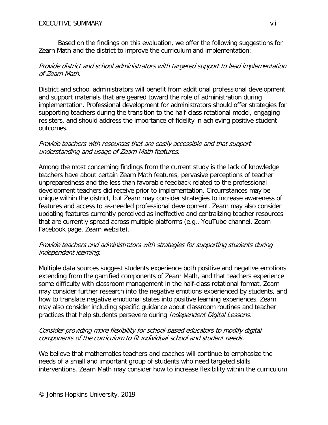Based on the findings on this evaluation, we offer the following suggestions for Zearn Math and the district to improve the curriculum and implementation:

# Provide district and school administrators with targeted support to lead implementation of Zearn Math.

District and school administrators will benefit from additional professional development and support materials that are geared toward the role of administration during implementation. Professional development for administrators should offer strategies for supporting teachers during the transition to the half-class rotational model, engaging resisters, and should address the importance of fidelity in achieving positive student outcomes.

## Provide teachers with resources that are easily accessible and that support understanding and usage of Zearn Math features.

Among the most concerning findings from the current study is the lack of knowledge teachers have about certain Zearn Math features, pervasive perceptions of teacher unpreparedness and the less than favorable feedback related to the professional development teachers did receive prior to implementation. Circumstances may be unique within the district, but Zearn may consider strategies to increase awareness of features and access to as-needed professional development. Zearn may also consider updating features currently perceived as ineffective and centralizing teacher resources that are currently spread across multiple platforms (e.g., YouTube channel, Zearn Facebook page, Zearn website).

# Provide teachers and administrators with strategies for supporting students during independent learning.

Multiple data sources suggest students experience both positive and negative emotions extending from the gamified components of Zearn Math, and that teachers experience some difficulty with classroom management in the half-class rotational format. Zearn may consider further research into the negative emotions experienced by students, and how to translate negative emotional states into positive learning experiences. Zearn may also consider including specific guidance about classroom routines and teacher practices that help students persevere during Independent Digital Lessons.

## Consider providing more flexibility for school-based educators to modify digital components of the curriculum to fit individual school and student needs.

We believe that mathematics teachers and coaches will continue to emphasize the needs of a small and important group of students who need targeted skills interventions. Zearn Math may consider how to increase flexibility within the curriculum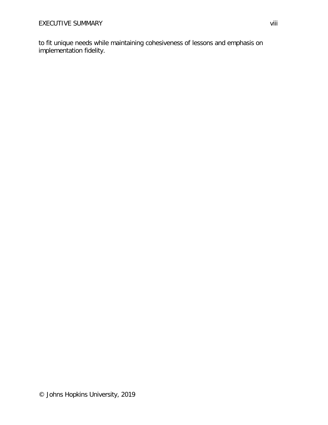to fit unique needs while maintaining cohesiveness of lessons and emphasis on implementation fidelity.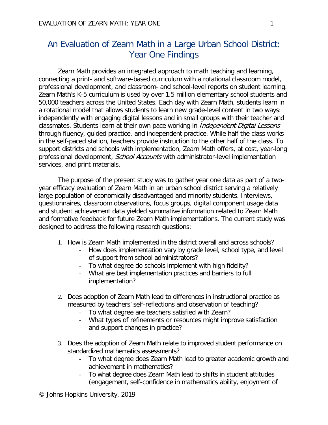# <span id="page-8-0"></span>An Evaluation of Zearn Math in a Large Urban School District: Year One Findings

Zearn Math provides an integrated approach to math teaching and learning, connecting a print- and software-based curriculum with a rotational classroom model, professional development, and classroom- and school-level reports on student learning. Zearn Math's K-5 curriculum is used by over 1.5 million elementary school students and 50,000 teachers across the United States. Each day with Zearn Math, students learn in a rotational model that allows students to learn new grade-level content in two ways: independently with engaging digital lessons and in small groups with their teacher and classmates. Students learn at their own pace working in *Independent Digital Lessons* through fluency, guided practice, and independent practice. While half the class works in the self-paced station, teachers provide instruction to the other half of the class. To support districts and schools with implementation, Zearn Math offers, at cost, year-long professional development, *School Accounts* with administrator-level implementation services, and print materials.

The purpose of the present study was to gather year one data as part of a twoyear efficacy evaluation of Zearn Math in an urban school district serving a relatively large population of economically disadvantaged and minority students. Interviews, questionnaires, classroom observations, focus groups, digital component usage data and student achievement data yielded summative information related to Zearn Math and formative feedback for future Zearn Math implementations. The current study was designed to address the following research questions:

- 1. How is Zearn Math implemented in the district overall and across schools?
	- How does implementation vary by grade level, school type, and level of support from school administrators?
	- To what degree do schools implement with high fidelity?
	- What are best implementation practices and barriers to full implementation?
- 2. Does adoption of Zearn Math lead to differences in instructional practice as measured by teachers' self-reflections and observation of teaching?
	- To what degree are teachers satisfied with Zearn?
	- What types of refinements or resources might improve satisfaction and support changes in practice?
- 3. Does the adoption of Zearn Math relate to improved student performance on standardized mathematics assessments?
	- To what degree does Zearn Math lead to greater academic growth and achievement in mathematics?
	- To what degree does Zearn Math lead to shifts in student attitudes (engagement, self-confidence in mathematics ability, enjoyment of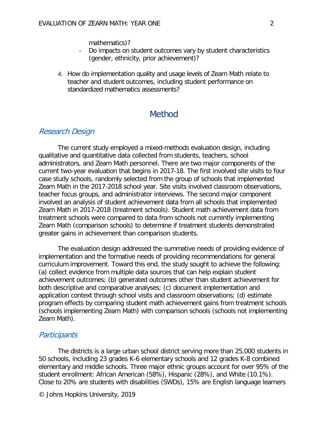mathematics)?

- Do impacts on student outcomes vary by student characteristics (gender, ethnicity, prior achievement)?
- 4. How do implementation quality and usage levels of Zearn Math relate to teacher and student outcomes, including student performance on standardized mathematics assessments?

# **Method**

## <span id="page-9-1"></span><span id="page-9-0"></span>Research Design

The current study employed a mixed-methods evaluation design, including qualitative and quantitative data collected from students, teachers, school administrators, and Zearn Math personnel. There are two major components of the current two-year evaluation that begins in 2017-18. The first involved site visits to four case study schools, randomly selected from the group of schools that implemented Zearn Math in the 2017-2018 school year. Site visits involved classroom observations, teacher focus groups, and administrator interviews. The second major component involved an analysis of student achievement data from all schools that implemented Zearn Math in 2017-2018 (treatment schools). Student math achievement data from treatment schools were compared to data from schools not currently implementing Zearn Math (comparison schools) to determine if treatment students demonstrated greater gains in achievement than comparison students.

The evaluation design addressed the summative needs of providing evidence of implementation and the formative needs of providing recommendations for general curriculum improvement. Toward this end, the study sought to achieve the following: (a) collect evidence from multiple data sources that can help explain student achievement outcomes; (b) generated outcomes other than student achievement for both descriptive and comparative analyses; (c) document implementation and application context through school visits and classroom observations; (d) estimate program effects by comparing student math achievement gains from treatment schools (schools implementing Zearn Math) with comparison schools (schools not implementing Zearn Math).

#### <span id="page-9-2"></span>**Participants**

The districts is a large urban school district serving more than 25,000 students in 50 schools, including 23 grades K-6 elementary schools and 12 grades K-8 combined elementary and middle schools. Three major ethnic groups account for over 95% of the student enrollment: African American (58%), Hispanic (28%), and White (10.1%). Close to 20% are students with disabilities (SWDs), 15% are English language learners

© Johns Hopkins University, 2019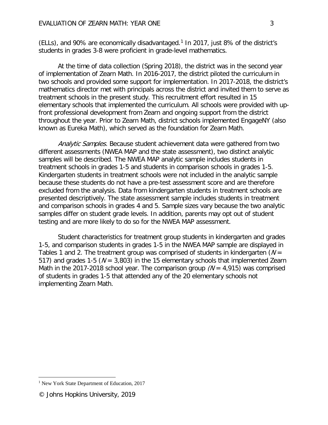(ELLs), and 90% are economically disadvantaged.<sup>[1](#page-10-0)</sup> In 2017, just 8% of the district's students in grades 3-8 were proficient in grade-level mathematics.

At the time of data collection (Spring 2018), the district was in the second year of implementation of Zearn Math. In 2016-2017, the district piloted the curriculum in two schools and provided some support for implementation. In 2017-2018, the district's mathematics director met with principals across the district and invited them to serve as treatment schools in the present study. This recruitment effort resulted in 15 elementary schools that implemented the curriculum. All schools were provided with upfront professional development from Zearn and ongoing support from the district throughout the year. Prior to Zearn Math, district schools implemented EngageNY (also known as Eureka Math), which served as the foundation for Zearn Math.

Analytic Samples. Because student achievement data were gathered from two different assessments (NWEA MAP and the state assessment), two distinct analytic samples will be described. The NWEA MAP analytic sample includes students in treatment schools in grades 1-5 and students in comparison schools in grades 1-5. Kindergarten students in treatment schools were not included in the analytic sample because these students do not have a pre-test assessment score and are therefore excluded from the analysis. Data from kindergarten students in treatment schools are presented descriptively. The state assessment sample includes students in treatment and comparison schools in grades 4 and 5. Sample sizes vary because the two analytic samples differ on student grade levels. In addition, parents may opt out of student testing and are more likely to do so for the NWEA MAP assessment.

Student characteristics for treatment group students in kindergarten and grades 1-5, and comparison students in grades 1-5 in the NWEA MAP sample are displayed in Tables 1 and 2. The treatment group was comprised of students in kindergarten ( $N =$ 517) and grades 1-5 ( $N = 3,803$ ) in the 15 elementary schools that implemented Zearn Math in the 2017-2018 school year. The comparison group  $(N = 4,915)$  was comprised of students in grades 1-5 that attended any of the 20 elementary schools not implementing Zearn Math.

 $\overline{a}$ 

<span id="page-10-0"></span><sup>&</sup>lt;sup>1</sup> New York State Department of Education, 2017

<sup>©</sup> Johns Hopkins University, 2019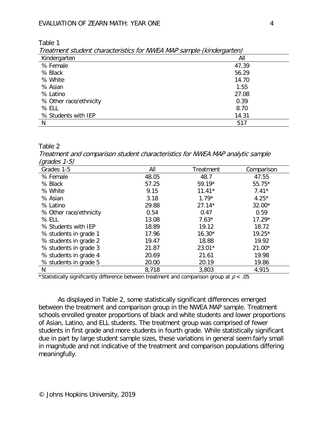Table 1

| Treatment student characteristics for NWEA MAP sample (kindergarten) |       |
|----------------------------------------------------------------------|-------|
| Kindergarten                                                         | Αll   |
| % Female                                                             | 47.39 |
| % Black                                                              | 56.29 |
| % White                                                              | 14.70 |
| % Asian                                                              | 1.55  |

% Asian  $\sim$  1.55 % Latino  $27.08$ % Other race/ethnicity 0.39 % ELL  $8.70$ % Students with IEP 2012 14:31  $N = 517$ 

## Table 2

Treatment and comparison student characteristics for NWEA MAP analytic sample  $(\text{arados } 1.5)$ 

| (9, 4400, 10)<br>Grades 1-5 | All   | Treatment | Comparison |
|-----------------------------|-------|-----------|------------|
| % Female                    | 48.05 | 48.7      | 47.55      |
| % Black                     | 57.25 | 59.19*    | 55.75*     |
| % White                     | 9.15  | $11.41*$  | $7.41*$    |
| % Asian                     | 3.18  | $1.79*$   | $4.25*$    |
| % Latino                    | 29.88 | $27.14*$  | 32.00*     |
| % Other race/ethnicity      | 0.54  | 0.47      | 0.59       |
| % ELL                       | 13.08 | $7.63*$   | $17.29*$   |
| % Students with IEP         | 18.89 | 19.12     | 18.72      |
| % students in grade 1       | 17.96 | $16.30*$  | 19.25*     |
| % students in grade 2       | 19.47 | 18.88     | 19.92      |
| % students in grade 3       | 21.87 | 23.01*    | $21.00*$   |
| % students in grade 4       | 20.69 | 21.61     | 19.98      |
| % students in grade 5       | 20.00 | 20.19     | 19.86      |
| N                           | 8,718 | 3,803     | 4,915      |

\*Statistically significantly difference between treatment and comparison group at  $p < .05$ 

As displayed in Table 2, some statistically significant differences emerged between the treatment and comparison group in the NWEA MAP sample. Treatment schools enrolled greater proportions of black and white students and lower proportions of Asian, Latino, and ELL students. The treatment group was comprised of fewer students in first grade and more students in fourth grade. While statistically significant due in part by large student sample sizes, these variations in general seem fairly small in magnitude and not indicative of the treatment and comparison populations differing meaningfully.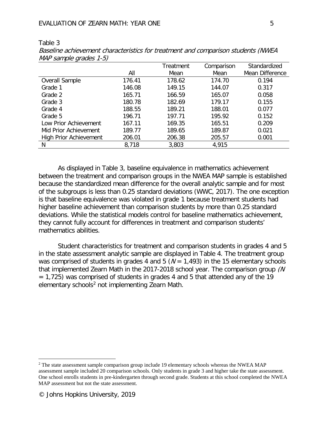| $\mathcal{L}$                 | All    | Treatment<br>Mean | Comparison<br>Mean | Standardized<br>Mean Difference |
|-------------------------------|--------|-------------------|--------------------|---------------------------------|
| <b>Overall Sample</b>         | 176.41 | 178.62            | 174.70             | 0.194                           |
| Grade 1                       | 146.08 | 149.15            | 144.07             | 0.317                           |
| Grade 2                       | 165.71 | 166.59            | 165.07             | 0.058                           |
| Grade 3                       | 180.78 | 182.69            | 179.17             | 0.155                           |
| Grade 4                       | 188.55 | 189.21            | 188.01             | 0.077                           |
| Grade 5                       | 196.71 | 197.71            | 195.92             | 0.152                           |
| Low Prior Achievement         | 167.11 | 169.35            | 165.51             | 0.209                           |
| Mid Prior Achievement         | 189.77 | 189.65            | 189.87             | 0.021                           |
| <b>High Prior Achievement</b> | 206.01 | 206.38            | 205.57             | 0.001                           |
| N                             | 8,718  | 3,803             | 4,915              |                                 |

Table 3 Baseline achievement characteristics for treatment and comparison students (NWEA MAP sample grades 1-5)

As displayed in Table 3, baseline equivalence in mathematics achievement between the treatment and comparison groups in the NWEA MAP sample is established because the standardized mean difference for the overall analytic sample and for most of the subgroups is less than 0.25 standard deviations (WWC, 2017). The one exception is that baseline equivalence was violated in grade 1 because treatment students had higher baseline achievement than comparison students by more than 0.25 standard deviations. While the statistical models control for baseline mathematics achievement, they cannot fully account for differences in treatment and comparison students' mathematics abilities.

Student characteristics for treatment and comparison students in grades 4 and 5 in the state assessment analytic sample are displayed in Table 4. The treatment group was comprised of students in grades 4 and 5 ( $N = 1,493$ ) in the 15 elementary schools that implemented Zearn Math in the 2017-2018 school year. The comparison group (N = 1,725) was comprised of students in grades 4 and 5 that attended any of the 19 elementary schools<sup>[2](#page-12-0)</sup> not implementing Zearn Math.

 $\overline{a}$ 

<span id="page-12-0"></span><sup>&</sup>lt;sup>2</sup> The state assessment sample comparison group include 19 elementary schools whereas the NWEA MAP assessment sample included 20 comparison schools. Only students in grade 3 and higher take the state assessment. One school enrolls students in pre-kindergarten through second grade. Students at this school completed the NWEA MAP assessment but not the state assessment.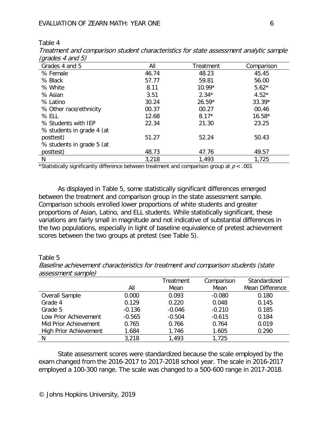| Table |  |  |
|-------|--|--|
|-------|--|--|

| $(y)$ uuttu u $y$         |       |           |            |
|---------------------------|-------|-----------|------------|
| Grades 4 and 5            | All   | Treatment | Comparison |
| % Female                  | 46.74 | 48.23     | 45.45      |
| % Black                   | 57.77 | 59.81     | 56.00      |
| % White                   | 8.11  | $10.99*$  | $5.62*$    |
| % Asian                   | 3.51  | $2.34*$   | $4.52*$    |
| % Latino                  | 30.24 | $26.59*$  | $33.39*$   |
| % Other race/ethnicity    | 00.37 | 00.27     | 00.46      |
| % ELL                     | 12.68 | $8.17*$   | $16.58*$   |
| % Students with IEP       | 22.34 | 21.30     | 23.25      |
| % students in grade 4 (at |       |           |            |
| posttest)                 | 51.27 | 52.24     | 50.43      |
| % students in grade 5 (at |       |           |            |
| posttest)                 | 48.73 | 47.76     | 49.57      |
| N                         | 3,218 | 1,493     | 1,725      |

Treatment and comparison student characteristics for state assessment analytic sample  $(\text{arades } 4 \text{ and } 5)$ 

\*Statistically significantly difference between treatment and comparison group at  $p < .001$ 

As displayed in Table 5, some statistically significant differences emerged between the treatment and comparison group in the state assessment sample. Comparison schools enrolled lower proportions of white students and greater proportions of Asian, Latino, and ELL students. While statistically significant, these variations are fairly small in magnitude and not indicative of substantial differences in the two populations, especially in light of baseline equivalence of pretest achievement scores between the two groups at pretest (see Table 5).

Table 5

| <i>assessifielit sailidie)</i> |          |           |            |                 |
|--------------------------------|----------|-----------|------------|-----------------|
|                                |          | Treatment | Comparison | Standardized    |
|                                | All      | Mean      | Mean       | Mean Difference |
| Overall Sample                 | 0.000    | 0.093     | $-0.080$   | 0.180           |
| Grade 4                        | 0.129    | 0.220     | 0.048      | 0.145           |
| Grade 5                        | $-0.136$ | $-0.046$  | $-0.210$   | 0.185           |
| Low Prior Achievement          | $-0.565$ | $-0.504$  | $-0.615$   | 0.184           |
| Mid Prior Achievement          | 0.765    | 0.766     | 0.764      | 0.019           |
| <b>High Prior Achievement</b>  | 1.684    | 1.746     | 1.605      | 0.290           |
| N                              | 3,218    | 1,493     | 1,725      |                 |

Baseline achievement characteristics for treatment and comparison students (state assessment sample)

State assessment scores were standardized because the scale employed by the exam changed from the 2016-2017 to 2017-2018 school year. The scale in 2016-2017 employed a 100-300 range. The scale was changed to a 500-600 range in 2017-2018.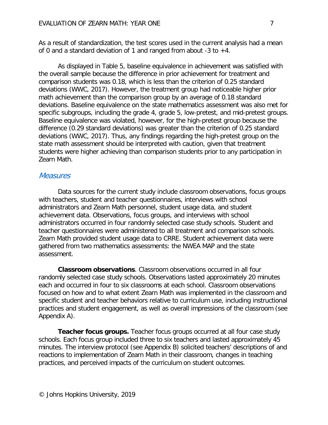As a result of standardization, the test scores used in the current analysis had a mean of 0 and a standard deviation of 1 and ranged from about  $-3$  to  $+4$ .

As displayed in Table 5, baseline equivalence in achievement was satisfied with the overall sample because the difference in prior achievement for treatment and comparison students was 0.18, which is less than the criterion of 0.25 standard deviations (WWC, 2017). However, the treatment group had noticeable higher prior math achievement than the comparison group by an average of 0.18 standard deviations. Baseline equivalence on the state mathematics assessment was also met for specific subgroups, including the grade 4, grade 5, low-pretest, and mid-pretest groups. Baseline equivalence was violated, however, for the high-pretest group because the difference (0.29 standard deviations) was greater than the criterion of 0.25 standard deviations (WWC, 2017). Thus, any findings regarding the high-pretest group on the state math assessment should be interpreted with caution, given that treatment students were higher achieving than comparison students prior to any participation in Zearn Math.

#### <span id="page-14-0"></span>**Measures**

Data sources for the current study include classroom observations, focus groups with teachers, student and teacher questionnaires, interviews with school administrators and Zearn Math personnel, student usage data, and student achievement data. Observations, focus groups, and interviews with school administrators occurred in four randomly selected case study schools. Student and teacher questionnaires were administered to all treatment and comparison schools. Zearn Math provided student usage data to CRRE. Student achievement data were gathered from two mathematics assessments: the NWEA MAP and the state assessment.

**Classroom observations**. Classroom observations occurred in all four randomly selected case study schools. Observations lasted approximately 20 minutes each and occurred in four to six classrooms at each school. Classroom observations focused on how and to what extent Zearn Math was implemented in the classroom and specific student and teacher behaviors relative to curriculum use, including instructional practices and student engagement, as well as overall impressions of the classroom (see Appendix A).

**Teacher focus groups.** Teacher focus groups occurred at all four case study schools. Each focus group included three to six teachers and lasted approximately 45 minutes. The interview protocol (see Appendix B) solicited teachers' descriptions of and reactions to implementation of Zearn Math in their classroom, changes in teaching practices, and perceived impacts of the curriculum on student outcomes.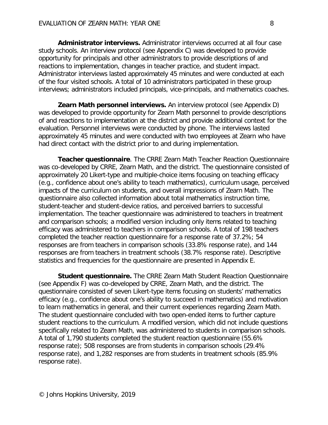**Administrator interviews.** Administrator interviews occurred at all four case study schools. An interview protocol (see Appendix C) was developed to provide opportunity for principals and other administrators to provide descriptions of and reactions to implementation, changes in teacher practice, and student impact. Administrator interviews lasted approximately 45 minutes and were conducted at each of the four visited schools. A total of 10 administrators participated in these group interviews; administrators included principals, vice-principals, and mathematics coaches.

**Zearn Math personnel interviews.** An interview protocol (see Appendix D) was developed to provide opportunity for Zearn Math personnel to provide descriptions of and reactions to implementation at the district and provide additional context for the evaluation. Personnel interviews were conducted by phone. The interviews lasted approximately 45 minutes and were conducted with two employees at Zearn who have had direct contact with the district prior to and during implementation.

**Teacher questionnaire**. The CRRE Zearn Math Teacher Reaction Questionnaire was co-developed by CRRE, Zearn Math, and the district. The questionnaire consisted of approximately 20 Likert-type and multiple-choice items focusing on teaching efficacy (e.g., confidence about one's ability to teach mathematics), curriculum usage, perceived impacts of the curriculum on students, and overall impressions of Zearn Math. The questionnaire also collected information about total mathematics instruction time, student-teacher and student-device ratios, and perceived barriers to successful implementation. The teacher questionnaire was administered to teachers in treatment and comparison schools; a modified version including only items related to teaching efficacy was administered to teachers in comparison schools. A total of 198 teachers completed the teacher reaction questionnaire for a response rate of 37.2%; 54 responses are from teachers in comparison schools (33.8% response rate), and 144 responses are from teachers in treatment schools (38.7% response rate). Descriptive statistics and frequencies for the questionnaire are presented in Appendix E.

**Student questionnaire.** The CRRE Zearn Math Student Reaction Questionnaire (see Appendix F) was co-developed by CRRE, Zearn Math, and the district. The questionnaire consisted of seven Likert-type items focusing on students' mathematics efficacy (e.g., confidence about one's ability to succeed in mathematics) and motivation to learn mathematics in general, and their current experiences regarding Zearn Math. The student questionnaire concluded with two open-ended items to further capture student reactions to the curriculum. A modified version, which did not include questions specifically related to Zearn Math, was administered to students in comparison schools. A total of 1,790 students completed the student reaction questionnaire (55.6% response rate); 508 responses are from students in comparison schools (29.4% response rate), and 1,282 responses are from students in treatment schools (85.9% response rate).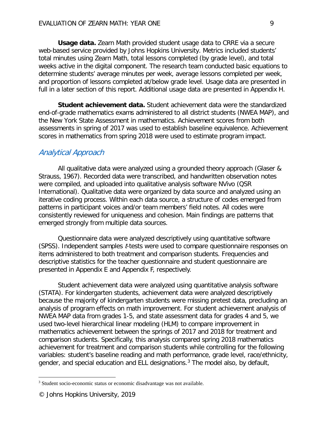**Usage data.** Zearn Math provided student usage data to CRRE via a secure web-based service provided by Johns Hopkins University. Metrics included students' total minutes using Zearn Math, total lessons completed (by grade level), and total weeks active in the digital component. The research team conducted basic equations to determine students' average minutes per week, average lessons completed per week, and proportion of lessons completed at/below grade level. Usage data are presented in full in a later section of this report. Additional usage data are presented in Appendix H.

**Student achievement data.** Student achievement data were the standardized end-of-grade mathematics exams administered to all district students (NWEA MAP), and the New York State Assessment in mathematics. Achievement scores from both assessments in spring of 2017 was used to establish baseline equivalence. Achievement scores in mathematics from spring 2018 were used to estimate program impact.

## <span id="page-16-0"></span>Analytical Approach

All qualitative data were analyzed using a grounded theory approach (Glaser & Strauss, 1967). Recorded data were transcribed, and handwritten observation notes were compiled, and uploaded into qualitative analysis software NVivo (QSR International). Qualitative data were organized by data source and analyzed using an iterative coding process. Within each data source, a structure of codes emerged from patterns in participant voices and/or team members' field notes. All codes were consistently reviewed for uniqueness and cohesion. Main findings are patterns that emerged strongly from multiple data sources.

Questionnaire data were analyzed descriptively using quantitative software (SPSS). Independent samples *t*-tests were used to compare questionnaire responses on items administered to both treatment and comparison students. Frequencies and descriptive statistics for the teacher questionnaire and student questionnaire are presented in Appendix E and Appendix F, respectively.

Student achievement data were analyzed using quantitative analysis software (STATA). For kindergarten students, achievement data were analyzed descriptively because the majority of kindergarten students were missing pretest data, precluding an analysis of program effects on math improvement. For student achievement analysis of NWEA MAP data from grades 1-5, and state assessment data for grades 4 and 5, we used two-level hierarchical linear modeling (HLM) to compare improvement in mathematics achievement between the springs of 2017 and 2018 for treatment and comparison students. Specifically, this analysis compared spring 2018 mathematics achievement for treatment and comparison students while controlling for the following variables: student's baseline reading and math performance, grade level, race/ethnicity, gender, and special education and ELL designations.<sup>[3](#page-16-1)</sup> The model also, by default,

 $\overline{a}$ 

<span id="page-16-1"></span><sup>3</sup> Student socio-economic status or economic disadvantage was not available.

<sup>©</sup> Johns Hopkins University, 2019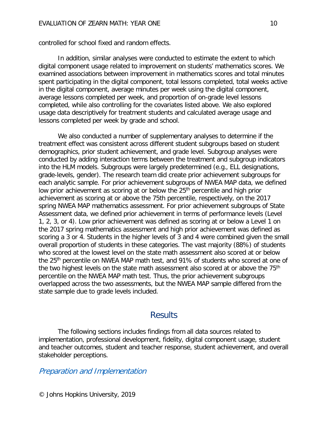controlled for school fixed and random effects.

In addition, similar analyses were conducted to estimate the extent to which digital component usage related to improvement on students' mathematics scores. We examined associations between improvement in mathematics scores and total minutes spent participating in the digital component, total lessons completed, total weeks active in the digital component, average minutes per week using the digital component, average lessons completed per week, and proportion of on-grade level lessons completed, while also controlling for the covariates listed above. We also explored usage data descriptively for treatment students and calculated average usage and lessons completed per week by grade and school.

We also conducted a number of supplementary analyses to determine if the treatment effect was consistent across different student subgroups based on student demographics, prior student achievement, and grade level. Subgroup analyses were conducted by adding interaction terms between the treatment and subgroup indicators into the HLM models. Subgroups were largely predetermined (e.g., ELL designations, grade-levels, gender). The research team did create prior achievement subgroups for each analytic sample. For prior achievement subgroups of NWEA MAP data, we defined low prior achievement as scoring at or below the 25<sup>th</sup> percentile and high prior achievement as scoring at or above the 75th percentile, respectively, on the 2017 spring NWEA MAP mathematics assessment. For prior achievement subgroups of State Assessment data, we defined prior achievement in terms of performance levels (Level 1, 2, 3, or 4). Low prior achievement was defined as scoring at or below a Level 1 on the 2017 spring mathematics assessment and high prior achievement was defined as scoring a 3 or 4. Students in the higher levels of 3 and 4 were combined given the small overall proportion of students in these categories. The vast majority (88%) of students who scored at the lowest level on the state math assessment also scored at or below the 25<sup>th</sup> percentile on NWEA MAP math test, and 91% of students who scored at one of the two highest levels on the state math assessment also scored at or above the 75<sup>th</sup> percentile on the NWEA MAP math test. Thus, the prior achievement subgroups overlapped across the two assessments, but the NWEA MAP sample differed from the state sample due to grade levels included.

# **Results**

<span id="page-17-0"></span>The following sections includes findings from all data sources related to implementation, professional development, fidelity, digital component usage, student and teacher outcomes, student and teacher response, student achievement, and overall stakeholder perceptions.

## <span id="page-17-1"></span>Preparation and Implementation

© Johns Hopkins University, 2019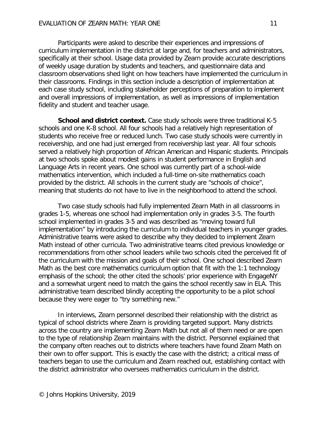Participants were asked to describe their experiences and impressions of curriculum implementation in the district at large and, for teachers and administrators, specifically at their school. Usage data provided by Zearn provide accurate descriptions of weekly usage duration by students and teachers, and questionnaire data and classroom observations shed light on how teachers have implemented the curriculum in their classrooms. Findings in this section include a description of implementation at each case study school, including stakeholder perceptions of preparation to implement and overall impressions of implementation, as well as impressions of implementation fidelity and student and teacher usage.

**School and district context.** Case study schools were three traditional K-5 schools and one K-8 school. All four schools had a relatively high representation of students who receive free or reduced lunch. Two case study schools were currently in receivership, and one had just emerged from receivership last year. All four schools served a relatively high proportion of African American and Hispanic students. Principals at two schools spoke about modest gains in student performance in English and Language Arts in recent years. One school was currently part of a school-wide mathematics intervention, which included a full-time on-site mathematics coach provided by the district. All schools in the current study are "schools of choice", meaning that students do not have to live in the neighborhood to attend the school.

Two case study schools had fully implemented Zearn Math in all classrooms in grades 1-5, whereas one school had implementation only in grades 3-5. The fourth school implemented in grades 3-5 and was described as "moving toward full implementation" by introducing the curriculum to individual teachers in younger grades. Administrative teams were asked to describe why they decided to implement Zearn Math instead of other curricula. Two administrative teams cited previous knowledge or recommendations from other school leaders while two schools cited the perceived fit of the curriculum with the mission and goals of their school. One school described Zearn Math as the best core mathematics curriculum option that fit with the 1:1 technology emphasis of the school; the other cited the schools' prior experience with EngageNY and a somewhat urgent need to match the gains the school recently saw in ELA. This administrative team described blindly accepting the opportunity to be a pilot school because they were eager to "try something new."

In interviews, Zearn personnel described their relationship with the district as typical of school districts where Zearn is providing targeted support. Many districts across the country are implementing Zearn Math but not all of them need or are open to the type of relationship Zearn maintains with the district. Personnel explained that the company often reaches out to districts where teachers have found Zearn Math on their own to offer support. This is exactly the case with the district; a critical mass of teachers began to use the curriculum and Zearn reached out, establishing contact with the district administrator who oversees mathematics curriculum in the district.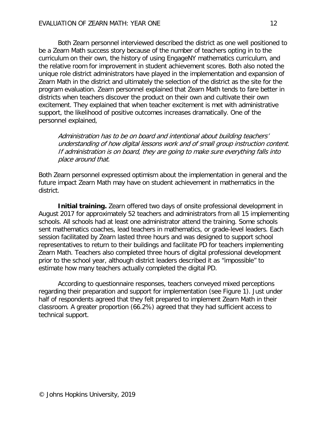Both Zearn personnel interviewed described the district as one well positioned to be a Zearn Math success story because of the number of teachers opting in to the curriculum on their own, the history of using EngageNY mathematics curriculum, and the relative room for improvement in student achievement scores. Both also noted the unique role district administrators have played in the implementation and expansion of Zearn Math in the district and ultimately the selection of the district as the site for the program evaluation. Zearn personnel explained that Zearn Math tends to fare better in districts when teachers discover the product on their own and cultivate their own excitement. They explained that when teacher excitement is met with administrative support, the likelihood of positive outcomes increases dramatically. One of the personnel explained,

Administration has to be on board and intentional about building teachers' understanding of how digital lessons work and of small group instruction content. If administration is on board, they are going to make sure everything falls into place around that.

Both Zearn personnel expressed optimism about the implementation in general and the future impact Zearn Math may have on student achievement in mathematics in the district.

**Initial training.** Zearn offered two days of onsite professional development in August 2017 for approximately 52 teachers and administrators from all 15 implementing schools. All schools had at least one administrator attend the training. Some schools sent mathematics coaches, lead teachers in mathematics, or grade-level leaders. Each session facilitated by Zearn lasted three hours and was designed to support school representatives to return to their buildings and facilitate PD for teachers implementing Zearn Math. Teachers also completed three hours of digital professional development prior to the school year, although district leaders described it as "impossible" to estimate how many teachers actually completed the digital PD.

According to questionnaire responses, teachers conveyed mixed perceptions regarding their preparation and support for implementation (see Figure 1). Just under half of respondents agreed that they felt prepared to implement Zearn Math in their classroom. A greater proportion (66.2%) agreed that they had sufficient access to technical support.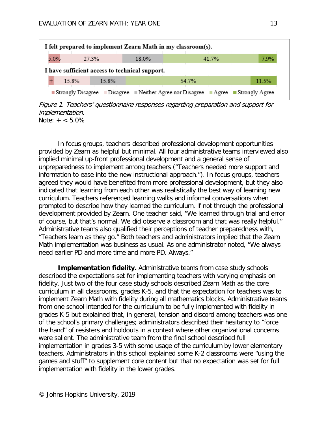

Figure 1. Teachers' questionnaire responses regarding preparation and support for implementation. Note:  $+ < 5.0\%$ 

In focus groups, teachers described professional development opportunities provided by Zearn as helpful but minimal. All four administrative teams interviewed also implied minimal up-front professional development and a general sense of unpreparedness to implement among teachers ("Teachers needed more support and information to ease into the new instructional approach."). In focus groups, teachers agreed they would have benefited from more professional development, but they also indicated that learning from each other was realistically the best way of learning new curriculum. Teachers referenced learning walks and informal conversations when prompted to describe how they learned the curriculum, if not through the professional development provided by Zearn. One teacher said, "We learned through trial and error of course, but that's normal. We did observe a classroom and that was really helpful." Administrative teams also qualified their perceptions of teacher preparedness with, "Teachers learn as they go." Both teachers and administrators implied that the Zearn Math implementation was business as usual. As one administrator noted, "We always need earlier PD and more time and more PD. Always."

**Implementation fidelity.** Administrative teams from case study schools described the expectations set for implementing teachers with varying emphasis on fidelity. Just two of the four case study schools described Zearn Math as the core curriculum in all classrooms, grades K-5, and that the expectation for teachers was to implement Zearn Math with fidelity during all mathematics blocks. Administrative teams from one school intended for the curriculum to be fully implemented with fidelity in grades K-5 but explained that, in general, tension and discord among teachers was one of the school's primary challenges; administrators described their hesitancy to "force the hand" of resisters and holdouts in a context where other organizational concerns were salient. The administrative team from the final school described full implementation in grades 3-5 with some usage of the curriculum by lower elementary teachers. Administrators in this school explained some K-2 classrooms were "using the games and stuff" to supplement core content but that no expectation was set for full implementation with fidelity in the lower grades.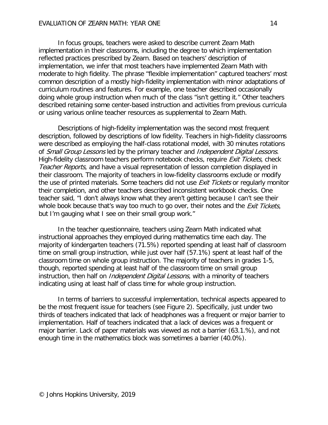In focus groups, teachers were asked to describe current Zearn Math implementation in their classrooms, including the degree to which implementation reflected practices prescribed by Zearn. Based on teachers' description of implementation, we infer that most teachers have implemented Zearn Math with moderate to high fidelity. The phrase "flexible implementation" captured teachers' most common description of a mostly high-fidelity implementation with minor adaptations of curriculum routines and features. For example, one teacher described occasionally doing whole group instruction when much of the class "isn't getting it." Other teachers described retaining some center-based instruction and activities from previous curricula or using various online teacher resources as supplemental to Zearn Math.

Descriptions of high-fidelity implementation was the second most frequent description, followed by descriptions of low fidelity. Teachers in high-fidelity classrooms were described as employing the half-class rotational model, with 30 minutes rotations of Small Group Lessons led by the primary teacher and Independent Digital Lessons. High-fidelity classroom teachers perform notebook checks, require *Exit Tickets*, check Teacher Reports, and have a visual representation of lesson completion displayed in their classroom. The majority of teachers in low-fidelity classrooms exclude or modify the use of printed materials. Some teachers did not use *Exit Tickets* or regularly monitor their completion, and other teachers described inconsistent workbook checks. One teacher said, "I don't always know what they aren't getting because I can't see their whole book because that's way too much to go over, their notes and the *Exit Tickets*, but I'm gauging what I see on their small group work."

In the teacher questionnaire, teachers using Zearn Math indicated what instructional approaches they employed during mathematics time each day. The majority of kindergarten teachers (71.5%) reported spending at least half of classroom time on small group instruction, while just over half (57.1%) spent at least half of the classroom time on whole group instruction. The majority of teachers in grades 1-5, though, reported spending at least half of the classroom time on small group instruction, then half on *Independent Digital Lessons*, with a minority of teachers indicating using at least half of class time for whole group instruction.

In terms of barriers to successful implementation, technical aspects appeared to be the most frequent issue for teachers (see Figure 2). Specifically, just under two thirds of teachers indicated that lack of headphones was a frequent or major barrier to implementation. Half of teachers indicated that a lack of devices was a frequent or major barrier. Lack of paper materials was viewed as not a barrier (63.1.%), and not enough time in the mathematics block was sometimes a barrier (40.0%).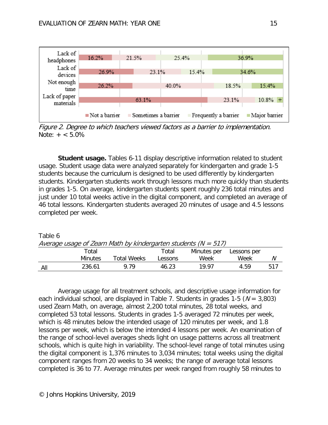

Figure 2. Degree to which teachers viewed factors as a barrier to implementation. Note:  $+ < 5.0\%$ 

**Student usage.** Tables 6-11 display descriptive information related to student usage. Student usage data were analyzed separately for kindergarten and grade 1-5 students because the curriculum is designed to be used differently by kindergarten students. Kindergarten students work through lessons much more quickly than students in grades 1-5. On average, kindergarten students spent roughly 236 total minutes and just under 10 total weeks active in the digital component, and completed an average of 46 total lessons. Kindergarten students averaged 20 minutes of usage and 4.5 lessons completed per week.

| Table 6                                                            |                |                    |         |             |             |     |
|--------------------------------------------------------------------|----------------|--------------------|---------|-------------|-------------|-----|
| Average usage of Zearn Math by kindergarten students ( $N = 517$ ) |                |                    |         |             |             |     |
|                                                                    | Total          |                    | Total   | Minutes per | Lessons per |     |
|                                                                    | <b>Minutes</b> | <b>Total Weeks</b> | Lessons | Week        | Week        | N   |
| All                                                                | 236.61         | 9.79               | 46.23   | 19 97       | 4.59        | 517 |

Average usage for all treatment schools, and descriptive usage information for each individual school, are displayed in Table 7. Students in grades 1-5 ( $N = 3,803$ ) used Zearn Math, on average, almost 2,200 total minutes, 28 total weeks, and completed 53 total lessons. Students in grades 1-5 averaged 72 minutes per week, which is 48 minutes below the intended usage of 120 minutes per week, and 1.8 lessons per week, which is below the intended 4 lessons per week. An examination of the range of school-level averages sheds light on usage patterns across all treatment schools, which is quite high in variability. The school-level range of total minutes using the digital component is 1,376 minutes to 3,034 minutes; total weeks using the digital component ranges from 20 weeks to 34 weeks; the range of average total lessons completed is 36 to 77. Average minutes per week ranged from roughly 58 minutes to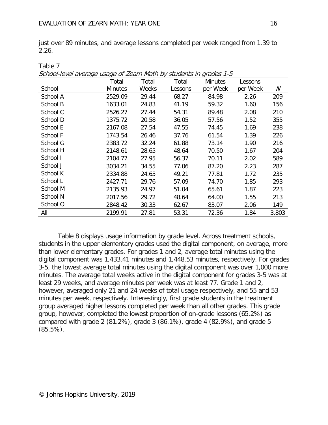Table 7

just over 89 minutes, and average lessons completed per week ranged from 1.39 to 2.26.

| school icycl average asage or Learn math by students in grades T o | Total          | Total | Total   | <b>Minutes</b> | Lessons  |       |
|--------------------------------------------------------------------|----------------|-------|---------|----------------|----------|-------|
| School                                                             | <b>Minutes</b> | Weeks | Lessons | per Week       | per Week | N     |
| School A                                                           | 2529.09        | 29.44 | 68.27   | 84.98          | 2.26     | 209   |
| School B                                                           | 1633.01        | 24.83 | 41.19   | 59.32          | 1.60     | 156   |
| School C                                                           | 2526.27        | 27.44 | 54.31   | 89.48          | 2.08     | 210   |
| School D                                                           | 1375.72        | 20.58 | 36.05   | 57.56          | 1.52     | 355   |
| School E                                                           | 2167.08        | 27.54 | 47.55   | 74.45          | 1.69     | 238   |
| School F                                                           | 1743.54        | 26.46 | 37.76   | 61.54          | 1.39     | 226   |
| School G                                                           | 2383.72        | 32.24 | 61.88   | 73.14          | 1.90     | 216   |
| School H                                                           | 2148.61        | 28.65 | 48.64   | 70.50          | 1.67     | 204   |
| School I                                                           | 2104.77        | 27.95 | 56.37   | 70.11          | 2.02     | 589   |
| School J                                                           | 3034.21        | 34.55 | 77.06   | 87.20          | 2.23     | 287   |
| School K                                                           | 2334.88        | 24.65 | 49.21   | 77.81          | 1.72     | 235   |
| School L                                                           | 2427.71        | 29.76 | 57.09   | 74.70          | 1.85     | 293   |
| School M                                                           | 2135.93        | 24.97 | 51.04   | 65.61          | 1.87     | 223   |
| School N                                                           | 2017.56        | 29.72 | 48.64   | 64.00          | 1.55     | 213   |
| School O                                                           | 2848.42        | 30.33 | 62.67   | 83.07          | 2.06     | 149   |
| All                                                                | 2199.91        | 27.81 | 53.31   | 72.36          | 1.84     | 3,803 |

School-level average usage of Zearn Math by students in grades 1-5

Table 8 displays usage information by grade level. Across treatment schools, students in the upper elementary grades used the digital component, on average, more than lower elementary grades. For grades 1 and 2, average total minutes using the digital component was 1,433.41 minutes and 1,448.53 minutes, respectively. For grades 3-5, the lowest average total minutes using the digital component was over 1,000 more minutes. The average total weeks active in the digital component for grades 3-5 was at least 29 weeks, and average minutes per week was at least 77. Grade 1 and 2, however, averaged only 21 and 24 weeks of total usage respectively, and 55 and 53 minutes per week, respectively. Interestingly, first grade students in the treatment group averaged higher lessons completed per week than all other grades. This grade group, however, completed the lowest proportion of on-grade lessons (65.2%) as compared with grade 2 (81.2%), grade 3 (86.1%), grade 4 (82.9%), and grade 5 (85.5%).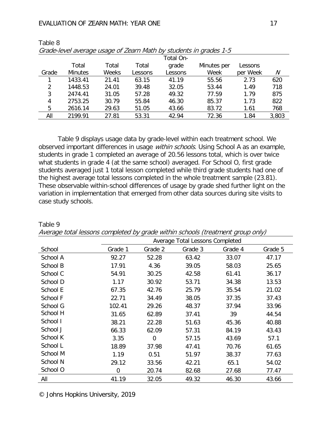#### EVALUATION OF ZEARN MATH: YEAR ONE 17

|       |                |       |         | Total On- |             |          |       |
|-------|----------------|-------|---------|-----------|-------------|----------|-------|
|       | Total          | Total | Total   | grade     | Minutes per | Lessons  |       |
| Grade | <b>Minutes</b> | Weeks | Lessons | Lessons   | Week        | per Week | N     |
|       | 1433.41        | 21.41 | 63.15   | 41.19     | 55.56       | 2.73     | 620   |
| 2     | 1448.53        | 24.01 | 39.48   | 32.05     | 53.44       | 1.49     | 718   |
| 3     | 2474.41        | 31.05 | 57.28   | 49.32     | 77.59       | 1.79     | 875   |
| 4     | 2753.25        | 30.79 | 55.84   | 46.30     | 85.37       | 1.73     | 822   |
| 5     | 2616.14        | 29.63 | 51.05   | 43.66     | 83.72       | 1.61     | 768   |
| All   | 2199.91        | 27.81 | 53.31   | 42.94     | 72.36       | 1.84     | 3,803 |

| Table 8 |                                                                   |
|---------|-------------------------------------------------------------------|
|         | Grade-level average usage of Zearn Math by students in grades 1-5 |

Table 9 displays usage data by grade-level within each treatment school. We observed important differences in usage *within schools*. Using School A as an example, students in grade 1 completed an average of 20.56 lessons total, which is over twice what students in grade 4 (at the same school) averaged. For School O, first grade students averaged just 1 total lesson completed while third grade students had one of the highest average total lessons completed in the whole treatment sample (23.81). These observable within-school differences of usage by grade shed further light on the variation in implementation that emerged from other data sources during site visits to case study schools.

|          | Average Total Lessons Completed |                |         |         |         |  |  |
|----------|---------------------------------|----------------|---------|---------|---------|--|--|
| School   | Grade 1                         | Grade 2        | Grade 3 | Grade 4 | Grade 5 |  |  |
| School A | 92.27                           | 52.28          | 63.42   | 33.07   | 47.17   |  |  |
| School B | 17.91                           | 4.36           | 39.05   | 58.03   | 25.65   |  |  |
| School C | 54.91                           | 30.25          | 42.58   | 61.41   | 36.17   |  |  |
| School D | 1.17                            | 30.92          | 53.71   | 34.38   | 13.53   |  |  |
| School E | 67.35                           | 42.76          | 25.79   | 35.54   | 21.02   |  |  |
| School F | 22.71                           | 34.49          | 38.05   | 37.35   | 37.43   |  |  |
| School G | 102.41                          | 29.26          | 48.37   | 37.94   | 33.96   |  |  |
| School H | 31.65                           | 62.89          | 37.41   | 39      | 44.54   |  |  |
| School I | 38.21                           | 22.28          | 51.63   | 45.36   | 40.88   |  |  |
| School J | 66.33                           | 62.09          | 57.31   | 84.19   | 43.43   |  |  |
| School K | 3.35                            | $\overline{0}$ | 57.15   | 43.69   | 57.1    |  |  |
| School L | 18.89                           | 37.98          | 47.41   | 70.76   | 61.65   |  |  |
| School M | 1.19                            | 0.51           | 51.97   | 38.37   | 77.63   |  |  |
| School N | 29.12                           | 33.56          | 42.21   | 65.1    | 54.02   |  |  |
| School O | 0                               | 20.74          | 82.68   | 27.68   | 77.47   |  |  |
| All      | 41.19                           | 32.05          | 49.32   | 46.30   | 43.66   |  |  |

Table 9 Average total lessons completed by grade within schools (treatment group only)

© Johns Hopkins University, 2019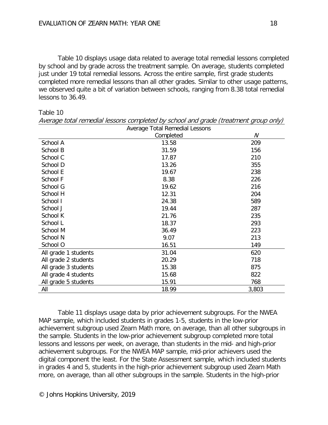Table 10 displays usage data related to average total remedial lessons completed by school and by grade across the treatment sample. On average, students completed just under 19 total remedial lessons. Across the entire sample, first grade students completed more remedial lessons than all other grades. Similar to other usage patterns, we observed quite a bit of variation between schools, ranging from 8.38 total remedial lessons to 36.49.

|                      | Average Total Remedial Lessons |       |  |  |  |  |
|----------------------|--------------------------------|-------|--|--|--|--|
|                      | Completed                      |       |  |  |  |  |
| School A             | 13.58                          | 209   |  |  |  |  |
| School B             | 31.59                          | 156   |  |  |  |  |
| School C             | 17.87                          | 210   |  |  |  |  |
| School D             | 13.26                          | 355   |  |  |  |  |
| School E             | 19.67                          | 238   |  |  |  |  |
| School F             | 8.38                           | 226   |  |  |  |  |
| School G             | 19.62                          | 216   |  |  |  |  |
| School H             | 12.31                          | 204   |  |  |  |  |
| School I             | 24.38                          | 589   |  |  |  |  |
| School J             | 19.44                          | 287   |  |  |  |  |
| School K             | 21.76                          | 235   |  |  |  |  |
| School L             | 18.37                          | 293   |  |  |  |  |
| School M             | 36.49                          | 223   |  |  |  |  |
| School N             | 9.07                           | 213   |  |  |  |  |
| School O             | 16.51                          | 149   |  |  |  |  |
| All grade 1 students | 31.04                          | 620   |  |  |  |  |
| All grade 2 students | 20.29                          | 718   |  |  |  |  |
| All grade 3 students | 15.38                          | 875   |  |  |  |  |
| All grade 4 students | 15.68                          | 822   |  |  |  |  |
| All grade 5 students | 15.91                          | 768   |  |  |  |  |
| All                  | 18.99                          | 3,803 |  |  |  |  |

Average total remedial lessons completed by school and grade (treatment group only)

Table 11 displays usage data by prior achievement subgroups. For the NWEA MAP sample, which included students in grades 1-5, students in the low-prior achievement subgroup used Zearn Math more, on average, than all other subgroups in the sample. Students in the low-prior achievement subgroup completed more total lessons and lessons per week, on average, than students in the mid- and high-prior achievement subgroups. For the NWEA MAP sample, mid-prior achievers used the digital component the least. For the State Assessment sample, which included students in grades 4 and 5, students in the high-prior achievement subgroup used Zearn Math more, on average, than all other subgroups in the sample. Students in the high-prior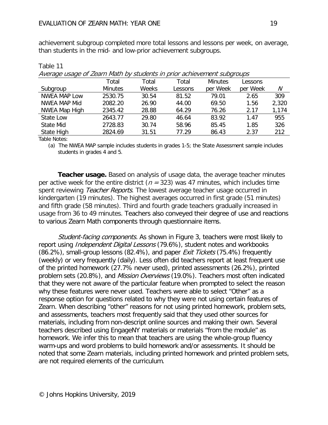achievement subgroup completed more total lessons and lessons per week, on average, than students in the mid- and low-prior achievement subgroups.

| Average usage of zearn wath by students in prior achievement subgroups |                |       |         |                |          |       |  |  |
|------------------------------------------------------------------------|----------------|-------|---------|----------------|----------|-------|--|--|
|                                                                        | Total          | Total | Total   | <b>Minutes</b> | Lessons  |       |  |  |
| Subgroup                                                               | <b>Minutes</b> | Weeks | Lessons | per Week       | per Week | N     |  |  |
| <b>NWEA MAP Low</b>                                                    | 2530.75        | 30.54 | 81.52   | 79.01          | 2.65     | 309   |  |  |
| <b>NWEA MAP Mid</b>                                                    | 2082.20        | 26.90 | 44.00   | 69.50          | 1.56     | 2,320 |  |  |
| NWEA Map High                                                          | 2345.42        | 28.88 | 64.29   | 76.26          | 2.17     | 1,174 |  |  |
| State Low                                                              | 2643.77        | 29.80 | 46.64   | 83.92          | 1.47     | 955   |  |  |
| State Mid                                                              | 2728.83        | 30.74 | 58.96   | 85.45          | 1.85     | 326   |  |  |
| <b>State High</b>                                                      | 2824.69        | 31.51 | 77.29   | 86.43          | 2.37     | 212   |  |  |
|                                                                        |                |       |         |                |          |       |  |  |

Average usage of Zearn Math by students in prior achievement subgroups

Table Notes:

Table 11

(a) The NWEA MAP sample includes students in grades 1-5; the State Assessment sample includes students in grades 4 and 5.

**Teacher usage.** Based on analysis of usage data, the average teacher minutes per active week for the entire district ( $n = 323$ ) was 47 minutes, which includes time spent reviewing Teacher Reports. The lowest average teacher usage occurred in kindergarten (19 minutes). The highest averages occurred in first grade (51 minutes) and fifth grade (58 minutes). Third and fourth grade teachers gradually increased in usage from 36 to 49 minutes. Teachers also conveyed their degree of use and reactions to various Zearn Math components through questionnaire items.

Student-facing components. As shown in Figure 3, teachers were most likely to report using *Independent Digital Lessons* (79.6%), student notes and workbooks (86.2%), small-group lessons (82.4%), and paper *Exit Tickets* (75.4%) frequently (weekly) or very frequently (daily). Less often did teachers report at least frequent use of the printed homework (27.7% never used), printed assessments (26.2%), printed problem sets (20.8%), and *Mission Overviews* (19.0%). Teachers most often indicated that they were not aware of the particular feature when prompted to select the reason why these features were never used. Teachers were able to select "Other" as a response option for questions related to why they were not using certain features of Zearn. When describing "other" reasons for not using printed homework, problem sets, and assessments, teachers most frequently said that they used other sources for materials, including from non-descript online sources and making their own. Several teachers described using EngageNY materials or materials "from the module" as homework. We infer this to mean that teachers are using the whole-group fluency warm-ups and word problems to build homework and/or assessments. It should be noted that some Zearn materials, including printed homework and printed problem sets, are not required elements of the curriculum.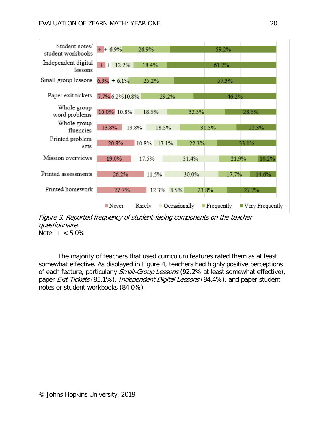

Figure 3. Reported frequency of student-facing components on the teacher questionnaire. Note:  $+ < 5.0\%$ 

The majority of teachers that used curriculum features rated them as at least somewhat effective. As displayed in Figure 4, teachers had highly positive perceptions of each feature, particularly Small-Group Lessons (92.2% at least somewhat effective), paper Exit Tickets (85.1%), Independent Digital Lessons (84.4%), and paper student notes or student workbooks (84.0%).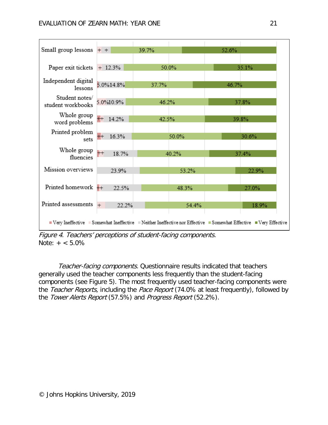

Figure 4. Teachers' perceptions of student-facing components. Note:  $+ < 5.0\%$ 

Teacher-facing components. Questionnaire results indicated that teachers generally used the teacher components less frequently than the student-facing components (see Figure 5). The most frequently used teacher-facing components were the Teacher Reports, including the Pace Report (74.0% at least frequently), followed by the Tower Alerts Report (57.5%) and Progress Report (52.2%).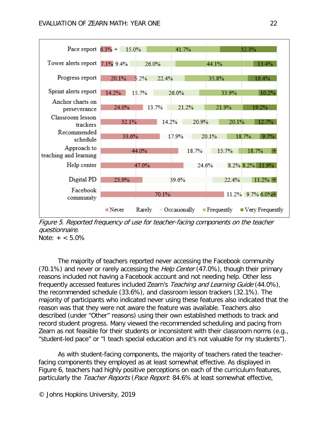

Figure 5. Reported frequency of use for teacher-facing components on the teacher questionnaire. Note:  $+ < 5.0\%$ 

The majority of teachers reported never accessing the Facebook community (70.1%) and never or rarely accessing the *Help Center* (47.0%), though their primary reasons included not having a Facebook account and not needing help. Other less frequently accessed features included Zearn's Teaching and Learning Guide (44.0%), the recommended schedule (33.6%), and classroom lesson trackers (32.1%). The majority of participants who indicated never using these features also indicated that the reason was that they were not aware the feature was available. Teachers also described (under "Other" reasons) using their own established methods to track and record student progress. Many viewed the recommended scheduling and pacing from Zearn as not feasible for their students or inconsistent with their classroom norms (e.g., "student-led pace" or "I teach special education and it's not valuable for my students").

As with student-facing components, the majority of teachers rated the teacherfacing components they employed as at least somewhat effective. As displayed in Figure 6, teachers had highly positive perceptions on each of the curriculum features, particularly the Teacher Reports (Pace Report: 84.6% at least somewhat effective,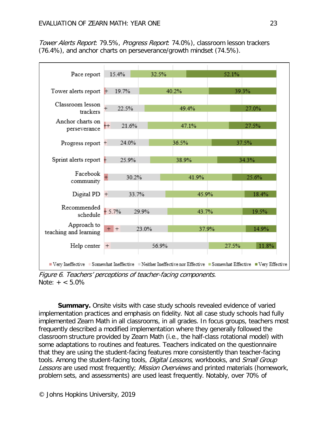Tower Alerts Report: 79.5%, Progress Report: 74.0%), classroom lesson trackers (76.4%), and anchor charts on perseverance/growth mindset (74.5%).

| Pace report                                                                                                         | 15.4%       | 32.5% |       | 52.1% |       |  |  |
|---------------------------------------------------------------------------------------------------------------------|-------------|-------|-------|-------|-------|--|--|
| Tower alerts report                                                                                                 | 19.7%       |       | 40.2% |       | 39.3% |  |  |
| Classroom lesson<br>trackers                                                                                        | 22.5%       |       | 49.4% |       | 27.0% |  |  |
| Anchor charts on<br>perseverance                                                                                    | 21.6%<br>ŀ+ |       | 47.1% |       | 27.5% |  |  |
| Progress report +                                                                                                   | 24.0%       |       | 36.5% |       | 37.5% |  |  |
| Sprint alerts report $+$                                                                                            | 25.9%       |       | 38.9% |       | 34.3% |  |  |
| Facebook<br>community                                                                                               | 30.2%       |       | 41.9% |       | 25.6% |  |  |
| Digital $PD$ +                                                                                                      | 33.7%       |       | 45.9% |       | 18.4% |  |  |
| Recommended<br>schedule                                                                                             | $-5.7%$     | 29.9% | 43.7% |       | 19.5% |  |  |
| Approach to<br>teaching and learning                                                                                | $+$ +       | 23.0% | 37.9% |       | 14.9% |  |  |
| Help center                                                                                                         | $+$         | 56.9% |       | 27.5% | 11.8% |  |  |
| ■ Very Ineffective ■ Somewhat Ineffective ■ Neither Ineffective nor Effective ■ Somewhat Effective ■ Very Effective |             |       |       |       |       |  |  |

Figure 6. Teachers' perceptions of teacher-facing components. Note:  $+ < 5.0\%$ 

**Summary.** Onsite visits with case study schools revealed evidence of varied implementation practices and emphasis on fidelity. Not all case study schools had fully implemented Zearn Math in all classrooms, in all grades. In focus groups, teachers most frequently described a modified implementation where they generally followed the classroom structure provided by Zearn Math (i.e., the half-class rotational model) with some adaptations to routines and features. Teachers indicated on the questionnaire that they are using the student-facing features more consistently than teacher-facing tools. Among the student-facing tools, *Digital Lessons*, workbooks, and Small Group Lessons are used most frequently; Mission Overviews and printed materials (homework, problem sets, and assessments) are used least frequently. Notably, over 70% of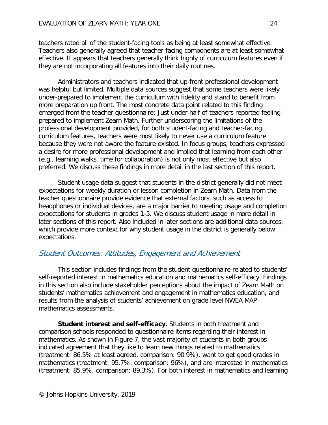teachers rated all of the student-facing tools as being at least somewhat effective. Teachers also generally agreed that teacher-facing components are at least somewhat effective. It appears that teachers generally think highly of curriculum features even if they are not incorporating all features into their daily routines.

Administrators and teachers indicated that up-front professional development was helpful but limited. Multiple data sources suggest that some teachers were likely under-prepared to implement the curriculum with fidelity and stand to benefit from more preparation up front. The most concrete data point related to this finding emerged from the teacher questionnaire: Just under half of teachers reported feeling prepared to implement Zearn Math. Further underscoring the limitations of the professional development provided, for both student-facing and teacher-facing curriculum features, teachers were most likely to never use a curriculum feature because they were not aware the feature existed. In focus groups, teachers expressed a desire for more professional development and implied that learning from each other (e.g., learning walks, time for collaboration) is not only most effective but also preferred. We discuss these findings in more detail in the last section of this report.

Student usage data suggest that students in the district generally did not meet expectations for weekly duration or lesson completion in Zearn Math. Data from the teacher questionnaire provide evidence that external factors, such as access to headphones or individual devices, are a major barrier to meeting usage and completion expectations for students in grades 1-5. We discuss student usage in more detail in later sections of this report. Also included in later sections are additional data sources, which provide more context for why student usage in the district is generally below expectations.

# <span id="page-31-0"></span>Student Outcomes: Attitudes, Engagement and Achievement

This section includes findings from the student questionnaire related to students' self-reported interest in mathematics education and mathematics self-efficacy. Findings in this section also include stakeholder perceptions about the impact of Zearn Math on students' mathematics achievement and engagement in mathematics education, and results from the analysis of students' achievement on grade level NWEA MAP mathematics assessments.

**Student interest and self-efficacy.** Students in both treatment and comparison schools responded to questionnaire items regarding their interest in mathematics. As shown in Figure 7, the vast majority of students in both groups indicated agreement that they like to learn new things related to mathematics (treatment: 86.5% at least agreed, comparison: 90.9%), want to get good grades in mathematics (treatment: 95.7%, comparison: 96%), and are interested in mathematics (treatment: 85.9%, comparison: 89.3%). For both interest in mathematics and learning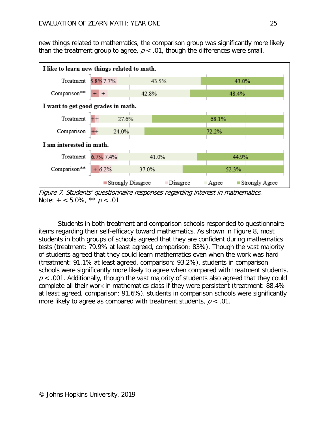new things related to mathematics, the comparison group was significantly more likely than the treatment group to agree,  $p < .01$ , though the differences were small.



Figure 7. Students' questionnaire responses regarding interest in mathematics. Note:  $+ < 5.0\%$ , \*\*  $p < .01$ 

Students in both treatment and comparison schools responded to questionnaire items regarding their self-efficacy toward mathematics. As shown in Figure 8, most students in both groups of schools agreed that they are confident during mathematics tests (treatment: 79.9% at least agreed, comparison: 83%). Though the vast majority of students agreed that they could learn mathematics even when the work was hard (treatment: 91.1% at least agreed, comparison: 93.2%), students in comparison schools were significantly more likely to agree when compared with treatment students,  $p < .001$ . Additionally, though the vast majority of students also agreed that they could complete all their work in mathematics class if they were persistent (treatment: 88.4% at least agreed, comparison: 91.6%), students in comparison schools were significantly more likely to agree as compared with treatment students,  $p < 0.01$ .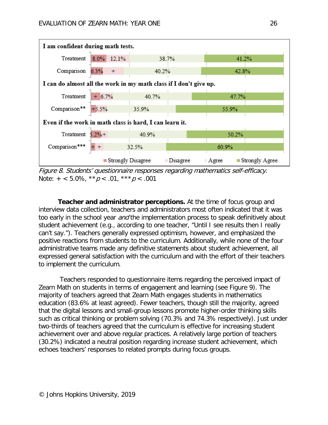

Figure 8. Students' questionnaire responses regarding mathematics self-efficacy. Note:  $+ < 5.0\%$ ,  $* p < .01$ ,  $* * p < .001$ 

**Teacher and administrator perceptions.** At the time of focus group and interview data collection, teachers and administrators most often indicated that it was too early in the school year *and* the implementation process to speak definitively about student achievement (e.g., according to one teacher, "Until I see results then I really can't say."). Teachers generally expressed optimism, however, and emphasized the positive reactions from students to the curriculum. Additionally, while none of the four administrative teams made any definitive statements about student achievement, all expressed general satisfaction with the curriculum and with the effort of their teachers to implement the curriculum.

 Teachers responded to questionnaire items regarding the perceived impact of Zearn Math on students in terms of engagement and learning (see Figure 9). The majority of teachers agreed that Zearn Math engages students in mathematics education (83.6% at least agreed). Fewer teachers, though still the majority, agreed that the digital lessons and small-group lessons promote higher-order thinking skills such as critical thinking or problem solving (70.3% and 74.3% respectively). Just under two-thirds of teachers agreed that the curriculum is effective for increasing student achievement over and above regular practices. A relatively large portion of teachers (30.2%) indicated a neutral position regarding increase student achievement, which echoes teachers' responses to related prompts during focus groups.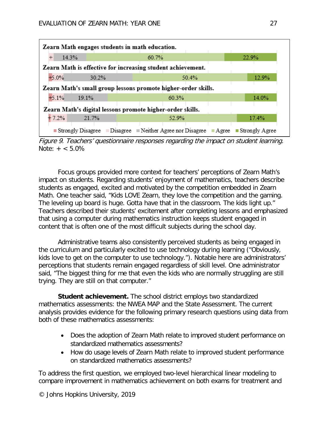| Zearn Math engages students in math education.                |       |       |  |       |       |       |  |       |                                                                            |
|---------------------------------------------------------------|-------|-------|--|-------|-------|-------|--|-------|----------------------------------------------------------------------------|
| 14.3%<br>$\overline{+}$                                       |       |       |  | 60.7% |       |       |  | 22.9% |                                                                            |
| Zearn Math is effective for increasing student achievement.   |       |       |  |       |       |       |  |       |                                                                            |
| $+5.0%$                                                       |       | 30.2% |  |       |       | 50.4% |  |       | 12.9%                                                                      |
| Zearn Math's small group lessons promote higher-order skills. |       |       |  |       |       |       |  |       |                                                                            |
| $+5.1%$                                                       | 19.1% |       |  |       | 60.3% |       |  |       | 14.0%                                                                      |
| Zearn Math's digital lessons promote higher-order skills.     |       |       |  |       |       |       |  |       |                                                                            |
| $+7.2%$                                                       | 21.7% |       |  |       | 52.9% |       |  |       | 17.4%                                                                      |
|                                                               |       |       |  |       |       |       |  |       | Strongly Disagree Disagree Neither Agree nor Disagree Agree Strongly Agree |

Figure 9. Teachers' questionnaire responses regarding the impact on student learning. Note:  $+ < 5.0\%$ 

Focus groups provided more context for teachers' perceptions of Zearn Math's impact on students. Regarding students' enjoyment of mathematics, teachers describe students as engaged, excited and motivated by the competition embedded in Zearn Math. One teacher said, "Kids LOVE Zearn, they love the competition and the gaming. The leveling up board is huge. Gotta have that in the classroom. The kids light up." Teachers described their students' excitement after completing lessons and emphasized that using a computer during mathematics instruction keeps student engaged in content that is often one of the most difficult subjects during the school day.

Administrative teams also consistently perceived students as being engaged in the curriculum and particularly excited to use technology during learning ("Obviously, kids love to get on the computer to use technology."). Notable here are administrators' perceptions that students remain engaged regardless of skill level. One administrator said, "The biggest thing for me that even the kids who are normally struggling are still trying. They are still on that computer."

**Student achievement.** The school district employs two standardized mathematics assessments: the NWEA MAP and the State Assessment. The current analysis provides evidence for the following primary research questions using data from both of these mathematics assessments:

- Does the adoption of Zearn Math relate to improved student performance on standardized mathematics assessments?
- How do usage levels of Zearn Math relate to improved student performance on standardized mathematics assessments?

To address the first question, we employed two-level hierarchical linear modeling to compare improvement in mathematics achievement on both exams for treatment and

© Johns Hopkins University, 2019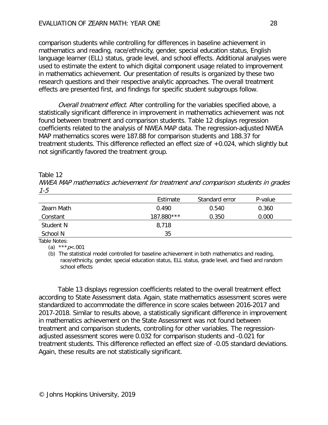comparison students while controlling for differences in baseline achievement in mathematics and reading, race/ethnicity, gender, special education status, English language learner (ELL) status, grade level, and school effects. Additional analyses were used to estimate the extent to which digital component usage related to improvement in mathematics achievement. Our presentation of results is organized by these two research questions and their respective analytic approaches. The overall treatment effects are presented first, and findings for specific student subgroups follow.

Overall treatment effect. After controlling for the variables specified above, a statistically significant difference in improvement in mathematics achievement was not found between treatment and comparison students. Table 12 displays regression coefficients related to the analysis of NWEA MAP data. The regression-adjusted NWEA MAP mathematics scores were 187.88 for comparison students and 188.37 for treatment students. This difference reflected an effect size of +0.024, which slightly but not significantly favored the treatment group.

#### Table 12

NWEA MAP mathematics achievement for treatment and comparison students in grades 1-5

|            | Estimate   | Standard error | P-value |
|------------|------------|----------------|---------|
| Zearn Math | 0.490      | 0.540          | 0.360   |
| Constant   | 187.880*** | 0.350          | 0.000   |
| Student N  | 8,718      |                |         |
| School N   | 35         |                |         |

Table Notes:

(a) \*\*\*  $p < .001$ 

(b) The statistical model controlled for baseline achievement in both mathematics and reading, race/ethnicity, gender, special education status, ELL status, grade level, and fixed and random school effects

Table 13 displays regression coefficients related to the overall treatment effect according to State Assessment data. Again, state mathematics assessment scores were standardized to accommodate the difference in score scales between 2016-2017 and 2017-2018. Similar to results above, a statistically significant difference in improvement in mathematics achievement on the State Assessment was not found between treatment and comparison students, controlling for other variables. The regressionadjusted assessment scores were 0.032 for comparison students and -0.021 for treatment students. This difference reflected an effect size of -0.05 standard deviations. Again, these results are not statistically significant.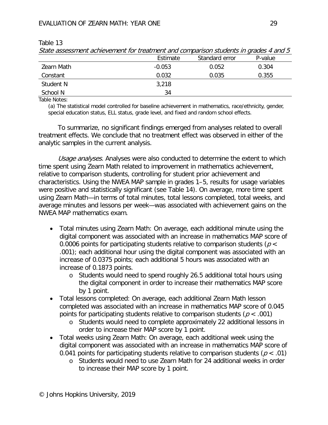| <u>Under assessment admending in the treatment and companison stadents in grades + and 5</u> |          |                |         |  |  |
|----------------------------------------------------------------------------------------------|----------|----------------|---------|--|--|
|                                                                                              | Estimate | Standard error | P-value |  |  |
| Zearn Math                                                                                   | $-0.053$ | 0.052          | 0.304   |  |  |
| Constant                                                                                     | 0.032    | 0.035          | 0.355   |  |  |
| Student N                                                                                    | 3,218    |                |         |  |  |
| School N                                                                                     | 34       |                |         |  |  |

Table 13 State assessment achievement for treatment and comparison students in grades 4 and 5

Table Notes:

(a) The statistical model controlled for baseline achievement in mathematics, race/ethnicity, gender, special education status, ELL status, grade level, and fixed and random school effects.

To summarize, no significant findings emerged from analyses related to overall treatment effects. We conclude that no treatment effect was observed in either of the analytic samples in the current analysis.

Usage analyses. Analyses were also conducted to determine the extent to which time spent using Zearn Math related to improvement in mathematics achievement, relative to comparison students, controlling for student prior achievement and characteristics. Using the NWEA MAP sample in grades 1–5, results for usage variables were positive and statistically significant (see Table 14). On average, more time spent using Zearn Math—in terms of total minutes, total lessons completed, total weeks, and average minutes and lessons per week—was associated with achievement gains on the NWEA MAP mathematics exam.

- Total minutes using Zearn Math: On average, each additional minute using the digital component was associated with an increase in mathematics MAP score of 0.0006 points for participating students relative to comparison students ( $p <$ .001); each additional hour using the digital component was associated with an increase of 0.0375 points; each additional 5 hours was associated with an increase of 0.1873 points.
	- o Students would need to spend roughly 26.5 additional total hours using the digital component in order to increase their mathematics MAP score by 1 point.
- Total lessons completed: On average, each additional Zearn Math lesson completed was associated with an increase in mathematics MAP score of 0.045 points for participating students relative to comparison students ( $p < .001$ )
	- o Students would need to complete approximately 22 additional lessons in order to increase their MAP score by 1 point.
- Total weeks using Zearn Math: On average, each additional week using the digital component was associated with an increase in mathematics MAP score of 0.041 points for participating students relative to comparison students ( $p < .01$ )
	- o Students would need to use Zearn Math for 24 additional weeks in order to increase their MAP score by 1 point.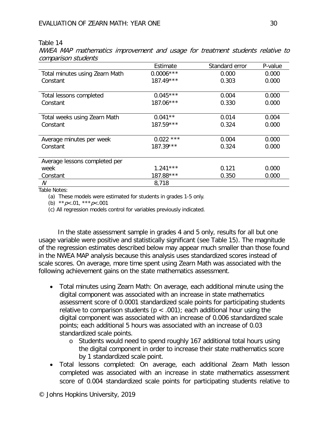#### Table 14

NWEA MAP mathematics improvement and usage for treatment students relative to comparison students

|                                | Estimate    | Standard error | P-value |
|--------------------------------|-------------|----------------|---------|
| Total minutes using Zearn Math | $0.0006***$ | 0.000          | 0.000   |
| Constant                       | $187.49***$ | 0.303          | 0.000   |
|                                |             |                |         |
| Total lessons completed        | $0.045***$  | 0.004          | 0.000   |
| Constant                       | 187.06***   | 0.330          | 0.000   |
|                                |             |                |         |
| Total weeks using Zearn Math   | $0.041**$   | 0.014          | 0.004   |
| Constant                       | $187.59***$ | 0.324          | 0.000   |
|                                |             |                |         |
| Average minutes per week       | $0.022$ *** | 0.004          | 0.000   |
| Constant                       | $187.39***$ | 0.324          | 0.000   |
|                                |             |                |         |
| Average lessons completed per  |             |                |         |
| week                           | $1.241***$  | 0.121          | 0.000   |
| Constant                       | 187.88***   | 0.350          | 0.000   |
| N                              | 8,718       |                |         |

Table Notes:

(a) These models were estimated for students in grades 1-5 only.

(b)  $* p < .01$ ,  $* * p < .001$ 

(c) All regression models control for variables previously indicated.

In the state assessment sample in grades 4 and 5 only, results for all but one usage variable were positive and statistically significant (see Table 15). The magnitude of the regression estimates described below may appear much smaller than those found in the NWEA MAP analysis because this analysis uses standardized scores instead of scale scores. On average, more time spent using Zearn Math was associated with the following achievement gains on the state mathematics assessment.

- Total minutes using Zearn Math: On average, each additional minute using the digital component was associated with an increase in state mathematics assessment score of 0.0001 standardized scale points for participating students relative to comparison students ( $p < .001$ ); each additional hour using the digital component was associated with an increase of 0.006 standardized scale points; each additional 5 hours was associated with an increase of 0.03 standardized scale points.
	- o Students would need to spend roughly 167 additional total hours using the digital component in order to increase their state mathematics score by 1 standardized scale point.
- Total lessons completed: On average, each additional Zearn Math lesson completed was associated with an increase in state mathematics assessment score of 0.004 standardized scale points for participating students relative to

© Johns Hopkins University, 2019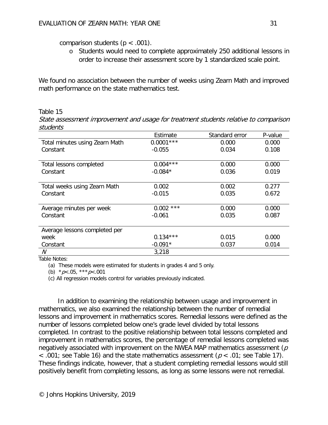comparison students ( $p < .001$ ).

o Students would need to complete approximately 250 additional lessons in order to increase their assessment score by 1 standardized scale point.

We found no association between the number of weeks using Zearn Math and improved math performance on the state mathematics test.

### Table 15

State assessment improvement and usage for treatment students relative to comparison students

|                                | Estimate       | Standard error | P-value |
|--------------------------------|----------------|----------------|---------|
| Total minutes using Zearn Math | $0.0001***$    | 0.000          | 0.000   |
| Constant                       | $-0.055$       | 0.034          | 0.108   |
|                                |                |                |         |
| Total lessons completed        | $0.004***$     | 0.000          | 0.000   |
| Constant                       | $-0.084*$      | 0.036          | 0.019   |
|                                |                |                |         |
| Total weeks using Zearn Math   | 0.002          | 0.002          | 0.277   |
| Constant                       | $-0.015$       | 0.035          | 0.672   |
|                                |                |                |         |
| Average minutes per week       | $***$<br>0.002 | 0.000          | 0.000   |
| Constant                       | $-0.061$       | 0.035          | 0.087   |
|                                |                |                |         |
| Average lessons completed per  |                |                |         |
| week                           | $0.134***$     | 0.015          | 0.000   |
| Constant                       | $-0.091*$      | 0.037          | 0.014   |
| N                              | 3,218          |                |         |

Table Notes:

(a) These models were estimated for students in grades 4 and 5 only.

(b)  $*_{p<.05}$ ,  $*_{*p<.001}$ 

(c) All regression models control for variables previously indicated.

In addition to examining the relationship between usage and improvement in mathematics, we also examined the relationship between the number of remedial lessons and improvement in mathematics scores. Remedial lessons were defined as the number of lessons completed below one's grade level divided by total lessons completed. In contrast to the positive relationship between total lessons completed and improvement in mathematics scores, the percentage of remedial lessons completed was negatively associated with improvement on the NWEA MAP mathematics assessment ( $\rho$ )  $\leq$  .001; see Table 16) and the state mathematics assessment ( $p \leq 0.01$ ; see Table 17). These findings indicate, however, that a student completing remedial lessons would still positively benefit from completing lessons, as long as some lessons were not remedial.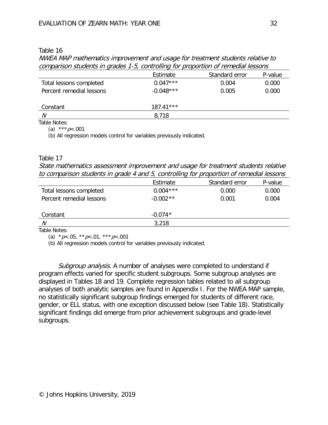#### Table 16

NWEA MAP mathematics improvement and usage for treatment students relative to comparison students in grades 1-5, controlling for proportion of remedial lessons

|                          | Estimate    | Standard error | P-value |
|--------------------------|-------------|----------------|---------|
| Total lessons completed  | $0.047***$  | 0.004          | 0.000   |
| Percent remedial lessons | $-0.048***$ | 0.005          | 0.000   |
| Constant                 | $187.41***$ |                |         |
| N                        | 8,718       |                |         |
| <b>TIINI</b>             |             |                |         |

Table Notes: (a) \*\*\*  $p < .001$ 

(b) All regression models control for variables previously indicated.

#### Table 17

State mathematics assessment improvement and usage for treatment students relative to comparison students in grade 4 and 5, controlling for proportion of remedial lessons

|                          | Estimate   | Standard error | P-value |
|--------------------------|------------|----------------|---------|
| Total lessons completed  | $0.004***$ | 0.000          | 0.000   |
| Percent remedial lessons | $-0.002**$ | 0.001          | 0.004   |
| Constant                 | $-0.074*$  |                |         |
| N                        | 3,218      |                |         |
| Toble Notcon             |            |                |         |

Table Notes:

(a)  $*_{p<.05}$ ,  $*_{p<.01}$ ,  $*_{p<.001}$ 

(b) All regression models control for variables previously indicated.

Subgroup analysis. A number of analyses were completed to understand if program effects varied for specific student subgroups. Some subgroup analyses are displayed in Tables 18 and 19. Complete regression tables related to all subgroup analyses of both analytic samples are found in Appendix I. For the NWEA MAP sample, no statistically significant subgroup findings emerged for students of different race, gender, or ELL status, with one exception discussed below (see Table 18). Statistically significant findings did emerge from prior achievement subgroups and grade-level subgroups.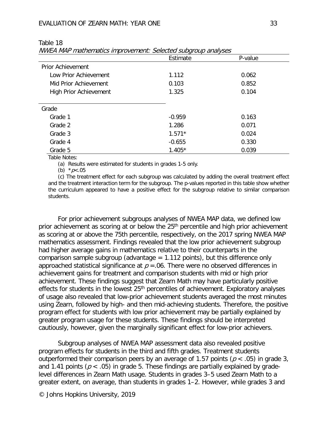| ۰.<br>۰. |
|----------|
|          |

|                               | Estimate | P-value |
|-------------------------------|----------|---------|
| <b>Prior Achievement</b>      |          |         |
| Low Prior Achievement         | 1.112    | 0.062   |
| Mid Prior Achievement         | 0.103    | 0.852   |
| <b>High Prior Achievement</b> | 1.325    | 0.104   |
| Grade                         |          |         |
| Grade 1                       | $-0.959$ | 0.163   |
| Grade 2                       | 1.286    | 0.071   |
| Grade 3                       | $1.571*$ | 0.024   |
| Grade 4                       | $-0.655$ | 0.330   |
| Grade 5                       | $1.405*$ | 0.039   |

Table 18

NWEA MAP mathematics improvement: Selected subgroup analyses

Table Notes:

(a) Results were estimated for students in grades 1-5 only.

(b)  $*_{p<.05}$ 

(c) The treatment effect for each subgroup was calculated by adding the overall treatment effect and the treatment interaction term for the subgroup. The p-values reported in this table show whether the curriculum appeared to have a positive effect for the subgroup relative to similar comparison students.

For prior achievement subgroups analyses of NWEA MAP data, we defined low prior achievement as scoring at or below the  $25<sup>th</sup>$  percentile and high prior achievement as scoring at or above the 75th percentile, respectively, on the 2017 spring NWEA MAP mathematics assessment. Findings revealed that the low prior achievement subgroup had higher average gains in mathematics relative to their counterparts in the comparison sample subgroup (advantage  $= 1.112$  points), but this difference only approached statistical significance at  $p = 0.06$ . There were no observed differences in achievement gains for treatment and comparison students with mid or high prior achievement. These findings suggest that Zearn Math may have particularly positive effects for students in the lowest  $25<sup>th</sup>$  percentiles of achievement. Exploratory analyses of usage also revealed that low-prior achievement students averaged the most minutes using Zearn, followed by high- and then mid-achieving students. Therefore, the positive program effect for students with low prior achievement may be partially explained by greater program usage for these students. These findings should be interpreted cautiously, however, given the marginally significant effect for low-prior achievers.

Subgroup analyses of NWEA MAP assessment data also revealed positive program effects for students in the third and fifth grades. Treatment students outperformed their comparison peers by an average of 1.57 points ( $p < .05$ ) in grade 3, and 1.41 points ( $p < .05$ ) in grade 5. These findings are partially explained by gradelevel differences in Zearn Math usage. Students in grades 3–5 used Zearn Math to a greater extent, on average, than students in grades 1–2. However, while grades 3 and

© Johns Hopkins University, 2019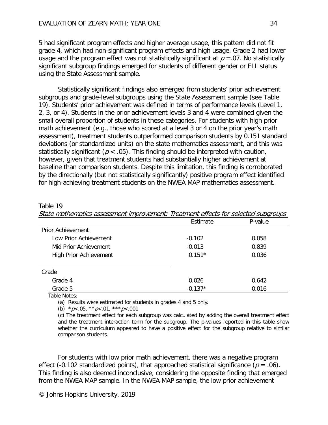5 had significant program effects and higher average usage, this pattern did not fit grade 4, which had non-significant program effects and high usage. Grade 2 had lower usage and the program effect was not statistically significant at  $p = 07$ . No statistically significant subgroup findings emerged for students of different gender or ELL status using the State Assessment sample.

Statistically significant findings also emerged from students' prior achievement subgroups and grade-level subgroups using the State Assessment sample (see Table 19). Students' prior achievement was defined in terms of performance levels (Level 1, 2, 3, or 4). Students in the prior achievement levels 3 and 4 were combined given the small overall proportion of students in these categories. For students with high prior math achievement (e.g., those who scored at a level 3 or 4 on the prior year's math assessment), treatment students outperformed comparison students by 0.151 standard deviations (or standardized units) on the state mathematics assessment, and this was statistically significant ( $p < .05$ ). This finding should be interpreted with caution, however, given that treatment students had substantially higher achievement at baseline than comparison students. Despite this limitation, this finding is corroborated by the directionally (but not statistically significantly) positive program effect identified for high-achieving treatment students on the NWEA MAP mathematics assessment.

#### Table 19

State mathematics assessment improvement: Treatment effects for selected subgroups

|                               | Estimate  | P-value |
|-------------------------------|-----------|---------|
| <b>Prior Achievement</b>      |           |         |
| Low Prior Achievement         | $-0.102$  | 0.058   |
| Mid Prior Achievement         | $-0.013$  | 0.839   |
| <b>High Prior Achievement</b> | $0.151*$  | 0.036   |
|                               |           |         |
| Grade                         |           |         |
| Grade 4                       | 0.026     | 0.642   |
| Grade 5                       | $-0.137*$ | 0.016   |

Table Notes:

(a) Results were estimated for students in grades 4 and 5 only.

(b)  $* p < .05, ** p < .01, ** p < .001$ 

(c) The treatment effect for each subgroup was calculated by adding the overall treatment effect and the treatment interaction term for the subgroup. The p-values reported in this table show whether the curriculum appeared to have a positive effect for the subgroup relative to similar comparison students.

For students with low prior math achievement, there was a negative program effect (-0.102 standardized points), that approached statistical significance ( $p = .06$ ). This finding is also deemed inconclusive, considering the opposite finding that emerged from the NWEA MAP sample. In the NWEA MAP sample, the low prior achievement

© Johns Hopkins University, 2019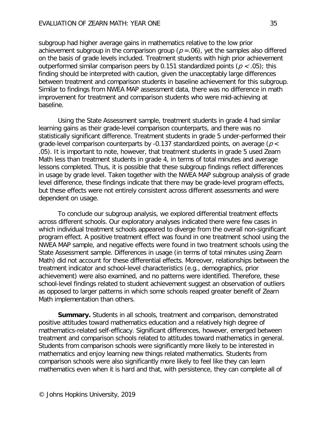subgroup had higher average gains in mathematics relative to the low prior achievement subgroup in the comparison group ( $p = .06$ ), yet the samples also differed on the basis of grade levels included. Treatment students with high prior achievement outperformed similar comparison peers by 0.151 standardized points ( $p < .05$ ); this finding should be interpreted with caution, given the unacceptably large differences between treatment and comparison students in baseline achievement for this subgroup. Similar to findings from NWEA MAP assessment data, there was no difference in math improvement for treatment and comparison students who were mid-achieving at baseline.

Using the State Assessment sample, treatment students in grade 4 had similar learning gains as their grade-level comparison counterparts, and there was no statistically significant difference. Treatment students in grade 5 under-performed their grade-level comparison counterparts by -0.137 standardized points, on average ( $p <$ .05). It is important to note, however, that treatment students in grade 5 used Zearn Math less than treatment students in grade 4, in terms of total minutes and average lessons completed. Thus, it is possible that these subgroup findings reflect differences in usage by grade level. Taken together with the NWEA MAP subgroup analysis of grade level difference, these findings indicate that there may be grade-level program effects, but these effects were not entirely consistent across different assessments and were dependent on usage.

To conclude our subgroup analysis, we explored differential treatment effects across different schools. Our exploratory analyses indicated there were few cases in which individual treatment schools appeared to diverge from the overall non-significant program effect. A positive treatment effect was found in one treatment school using the NWEA MAP sample, and negative effects were found in two treatment schools using the State Assessment sample. Differences in usage (in terms of total minutes using Zearn Math) did not account for these differential effects. Moreover, relationships between the treatment indicator and school-level characteristics (e.g., demographics, prior achievement) were also examined, and no patterns were identified. Therefore, these school-level findings related to student achievement suggest an observation of outliers as opposed to larger patterns in which some schools reaped greater benefit of Zearn Math implementation than others.

**Summary.** Students in all schools, treatment and comparison, demonstrated positive attitudes toward mathematics education and a relatively high degree of mathematics-related self-efficacy. Significant differences, however, emerged between treatment and comparison schools related to attitudes toward mathematics in general. Students from comparison schools were significantly more likely to be interested in mathematics and enjoy learning new things related mathematics. Students from comparison schools were also significantly more likely to feel like they can learn mathematics even when it is hard and that, with persistence, they can complete all of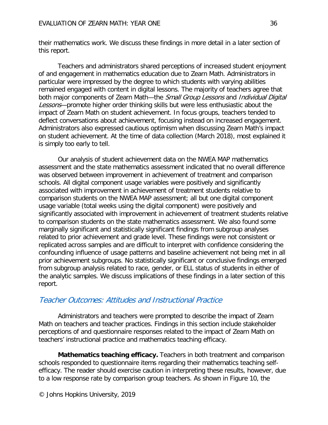their mathematics work. We discuss these findings in more detail in a later section of this report.

Teachers and administrators shared perceptions of increased student enjoyment of and engagement in mathematics education due to Zearn Math. Administrators in particular were impressed by the degree to which students with varying abilities remained engaged with content in digital lessons. The majority of teachers agree that both major components of Zearn Math—the Small Group Lessons and Individual Digital Lessons—promote higher order thinking skills but were less enthusiastic about the impact of Zearn Math on student achievement. In focus groups, teachers tended to deflect conversations about achievement, focusing instead on increased engagement. Administrators also expressed cautious optimism when discussing Zearn Math's impact on student achievement. At the time of data collection (March 2018), most explained it is simply too early to tell.

Our analysis of student achievement data on the NWEA MAP mathematics assessment and the state mathematics assessment indicated that no overall difference was observed between improvement in achievement of treatment and comparison schools. All digital component usage variables were positively and significantly associated with improvement in achievement of treatment students relative to comparison students on the NWEA MAP assessment; all but one digital component usage variable (total weeks using the digital component) were positively and significantly associated with improvement in achievement of treatment students relative to comparison students on the state mathematics assessment. We also found some marginally significant and statistically significant findings from subgroup analyses related to prior achievement and grade level. These findings were not consistent or replicated across samples and are difficult to interpret with confidence considering the confounding influence of usage patterns and baseline achievement not being met in all prior achievement subgroups. No statistically significant or conclusive findings emerged from subgroup analysis related to race, gender, or ELL status of students in either of the analytic samples. We discuss implications of these findings in a later section of this report.

### Teacher Outcomes: Attitudes and Instructional Practice

Administrators and teachers were prompted to describe the impact of Zearn Math on teachers and teacher practices. Findings in this section include stakeholder perceptions of and questionnaire responses related to the impact of Zearn Math on teachers' instructional practice and mathematics teaching efficacy.

**Mathematics teaching efficacy.** Teachers in both treatment and comparison schools responded to questionnaire items regarding their mathematics teaching selfefficacy. The reader should exercise caution in interpreting these results, however, due to a low response rate by comparison group teachers. As shown in Figure 10, the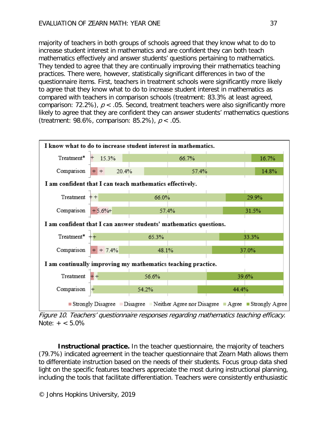majority of teachers in both groups of schools agreed that they know what to do to increase student interest in mathematics and are confident they can both teach mathematics effectively and answer students' questions pertaining to mathematics. They tended to agree that they are continually improving their mathematics teaching practices. There were, however, statistically significant differences in two of the questionnaire items. First, teachers in treatment schools were significantly more likely to agree that they know what to do to increase student interest in mathematics as compared with teachers in comparison schools (treatment: 83.3% at least agreed, comparison: 72.2%),  $p < .05$ . Second, treatment teachers were also significantly more likely to agree that they are confident they can answer students' mathematics questions (treatment: 98.6%, comparison: 85.2%),  $p < .05$ .



Figure 10. Teachers' questionnaire responses regarding mathematics teaching efficacy.  $Note: + < 5.0\%$ 

**Instructional practice.** In the teacher questionnaire, the majority of teachers (79.7%) indicated agreement in the teacher questionnaire that Zearn Math allows them to differentiate instruction based on the needs of their students. Focus group data shed light on the specific features teachers appreciate the most during instructional planning, including the tools that facilitate differentiation. Teachers were consistently enthusiastic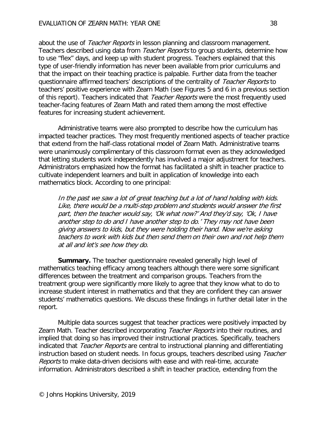about the use of *Teacher Reports* in lesson planning and classroom management. Teachers described using data from *Teacher Reports* to group students, determine how to use "flex" days, and keep up with student progress. Teachers explained that this type of user-friendly information has never been available from prior curriculums and that the impact on their teaching practice is palpable. Further data from the teacher questionnaire affirmed teachers' descriptions of the centrality of Teacher Reports to teachers' positive experience with Zearn Math (see Figures 5 and 6 in a previous section of this report). Teachers indicated that Teacher Reports were the most frequently used teacher-facing features of Zearn Math and rated them among the most effective features for increasing student achievement.

Administrative teams were also prompted to describe how the curriculum has impacted teacher practices. They most frequently mentioned aspects of teacher practice that extend from the half-class rotational model of Zearn Math. Administrative teams were unanimously complimentary of this classroom format even as they acknowledged that letting students work independently has involved a major adjustment for teachers. Administrators emphasized how the format has facilitated a shift in teacher practice to cultivate independent learners and built in application of knowledge into each mathematics block. According to one principal:

In the past we saw a lot of great teaching but a lot of hand holding with kids. Like, there would be a multi-step problem and students would answer the first part, then the teacher would say, 'Ok what now?' And they'd say, 'Ok, I have another step to do and I have another step to do.' They may not have been giving answers to kids, but they were holding their hand. Now we're asking teachers to work with kids but then send them on their own and not help them at all and let's see how they do.

**Summary.** The teacher questionnaire revealed generally high level of mathematics teaching efficacy among teachers although there were some significant differences between the treatment and comparison groups. Teachers from the treatment group were significantly more likely to agree that they know what to do to increase student interest in mathematics and that they are confident they can answer students' mathematics questions. We discuss these findings in further detail later in the report.

Multiple data sources suggest that teacher practices were positively impacted by Zearn Math. Teacher described incorporating Teacher Reports into their routines, and implied that doing so has improved their instructional practices. Specifically, teachers indicated that *Teacher Reports* are central to instructional planning and differentiating instruction based on student needs. In focus groups, teachers described using Teacher Reports to make data-driven decisions with ease and with real-time, accurate information. Administrators described a shift in teacher practice, extending from the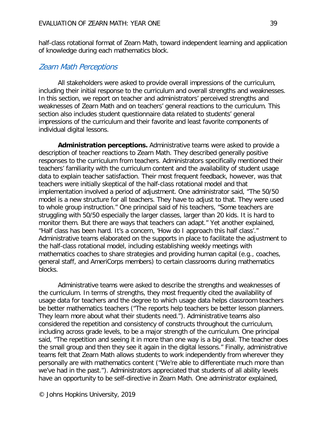half-class rotational format of Zearn Math, toward independent learning and application of knowledge during each mathematics block.

### Zearn Math Perceptions

All stakeholders were asked to provide overall impressions of the curriculum, including their initial response to the curriculum and overall strengths and weaknesses. In this section, we report on teacher and administrators' perceived strengths and weaknesses of Zearn Math and on teachers' general reactions to the curriculum. This section also includes student questionnaire data related to students' general impressions of the curriculum and their favorite and least favorite components of individual digital lessons.

**Administration perceptions.** Administrative teams were asked to provide a description of teacher reactions to Zearn Math. They described generally positive responses to the curriculum from teachers. Administrators specifically mentioned their teachers' familiarity with the curriculum content and the availability of student usage data to explain teacher satisfaction. Their most frequent feedback, however, was that teachers were initially skeptical of the half-class rotational model and that implementation involved a period of adjustment. One administrator said, "The 50/50 model is a new structure for all teachers. They have to adjust to that. They were used to whole group instruction." One principal said of his teachers, "Some teachers are struggling with 50/50 especially the larger classes, larger than 20 kids. It is hard to monitor them. But there are ways that teachers can adapt." Yet another explained, "Half class has been hard. It's a concern, 'How do I approach this half class'." Administrative teams elaborated on the supports in place to facilitate the adjustment to the half-class rotational model, including establishing weekly meetings with mathematics coaches to share strategies and providing human capital (e.g., coaches, general staff, and AmeriCorps members) to certain classrooms during mathematics blocks.

Administrative teams were asked to describe the strengths and weaknesses of the curriculum. In terms of strengths, they most frequently cited the availability of usage data for teachers and the degree to which usage data helps classroom teachers be better mathematics teachers ("The reports help teachers be better lesson planners. They learn more about what their students need."). Administrative teams also considered the repetition and consistency of constructs throughout the curriculum, including across grade levels, to be a major strength of the curriculum. One principal said, "The repetition and seeing it in more than one way is a big deal. The teacher does the small group and then they see it again in the digital lessons." Finally, administrative teams felt that Zearn Math allows students to work independently from wherever they personally are with mathematics content ("We're able to differentiate much more than we've had in the past."). Administrators appreciated that students of all ability levels have an opportunity to be self-directive in Zearn Math. One administrator explained,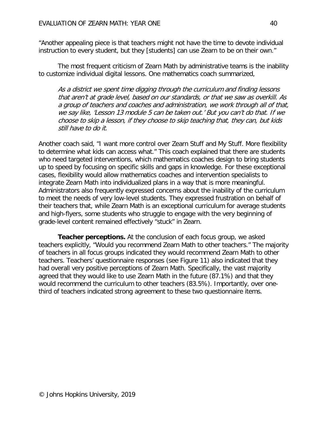"Another appealing piece is that teachers might not have the time to devote individual instruction to every student, but they [students] can use Zearn to be on their own."

The most frequent criticism of Zearn Math by administrative teams is the inability to customize individual digital lessons. One mathematics coach summarized,

As a district we spent time digging through the curriculum and finding lessons that aren't at grade level, based on our standards, or that we saw as overkill. As a group of teachers and coaches and administration, we work through all of that, we say like, 'Lesson 13 module 5 can be taken out.' But you can't do that. If we choose to skip a lesson, if they choose to skip teaching that, they can, but kids still have to do it.

Another coach said, "I want more control over Zearn Stuff and My Stuff. More flexibility to determine what kids can access what." This coach explained that there are students who need targeted interventions, which mathematics coaches design to bring students up to speed by focusing on specific skills and gaps in knowledge. For these exceptional cases, flexibility would allow mathematics coaches and intervention specialists to integrate Zearn Math into individualized plans in a way that is more meaningful. Administrators also frequently expressed concerns about the inability of the curriculum to meet the needs of very low-level students. They expressed frustration on behalf of their teachers that, while Zearn Math is an exceptional curriculum for average students and high-flyers, some students who struggle to engage with the very beginning of grade-level content remained effectively "stuck" in Zearn.

**Teacher perceptions.** At the conclusion of each focus group, we asked teachers explicitly, "Would you recommend Zearn Math to other teachers." The majority of teachers in all focus groups indicated they would recommend Zearn Math to other teachers. Teachers' questionnaire responses (see Figure 11) also indicated that they had overall very positive perceptions of Zearn Math. Specifically, the vast majority agreed that they would like to use Zearn Math in the future (87.1%) and that they would recommend the curriculum to other teachers (83.5%). Importantly, over onethird of teachers indicated strong agreement to these two questionnaire items.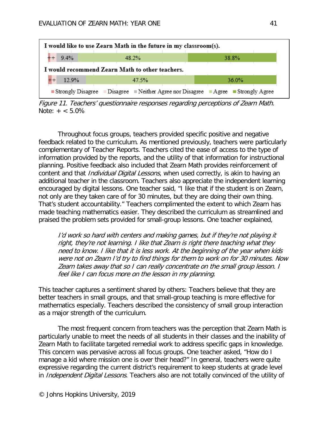

Figure 11. Teachers' questionnaire responses regarding perceptions of Zearn Math. Note:  $+ < 5.0\%$ 

Throughout focus groups, teachers provided specific positive and negative feedback related to the curriculum. As mentioned previously, teachers were particularly complementary of Teacher Reports. Teachers cited the ease of access to the type of information provided by the reports, and the utility of that information for instructional planning. Positive feedback also included that Zearn Math provides reinforcement of content and that *Individual Digital Lessons*, when used correctly, is akin to having an additional teacher in the classroom. Teachers also appreciate the independent learning encouraged by digital lessons. One teacher said, "I like that if the student is on Zearn, not only are they taken care of for 30 minutes, but they are doing their own thing. That's student accountability." Teachers complimented the extent to which Zearn has made teaching mathematics easier. They described the curriculum as streamlined and praised the problem sets provided for small-group lessons. One teacher explained,

I'd work so hard with centers and making games, but if they're not playing it right, they're not learning. I like that Zearn is right there teaching what they need to know. I like that it is less work. At the beginning of the year when kids were not on Zearn I'd try to find things for them to work on for 30 minutes. Now Zearn takes away that so I can really concentrate on the small group lesson. I feel like I can focus more on the lesson in my planning.

This teacher captures a sentiment shared by others: Teachers believe that they are better teachers in small groups, and that small-group teaching is more effective for mathematics especially. Teachers described the consistency of small group interaction as a major strength of the curriculum.

The most frequent concern from teachers was the perception that Zearn Math is particularly unable to meet the needs of all students in their classes and the inability of Zearn Math to facilitate targeted remedial work to address specific gaps in knowledge. This concern was pervasive across all focus groups. One teacher asked, "How do I manage a kid where mission one is over their head?" In general, teachers were quite expressive regarding the current district's requirement to keep students at grade level in *Independent Digital Lessons*. Teachers also are not totally convinced of the utility of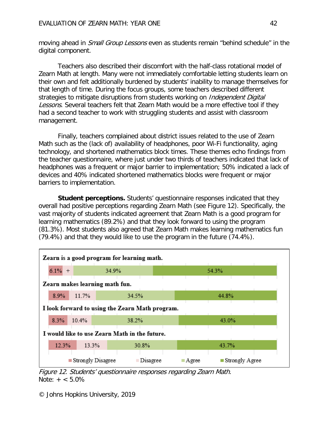moving ahead in *Small Group Lessons* even as students remain "behind schedule" in the digital component.

Teachers also described their discomfort with the half-class rotational model of Zearn Math at length. Many were not immediately comfortable letting students learn on their own and felt additionally burdened by students' inability to manage themselves for that length of time. During the focus groups, some teachers described different strategies to mitigate disruptions from students working on *Independent Digital* Lessons. Several teachers felt that Zearn Math would be a more effective tool if they had a second teacher to work with struggling students and assist with classroom management.

Finally, teachers complained about district issues related to the use of Zearn Math such as the (lack of) availability of headphones, poor Wi-Fi functionality, aging technology, and shortened mathematics block times. These themes echo findings from the teacher questionnaire, where just under two thirds of teachers indicated that lack of headphones was a frequent or major barrier to implementation; 50% indicated a lack of devices and 40% indicated shortened mathematics blocks were frequent or major barriers to implementation.

**Student perceptions.** Students' questionnaire responses indicated that they overall had positive perceptions regarding Zearn Math (see Figure 12). Specifically, the vast majority of students indicated agreement that Zearn Math is a good program for learning mathematics (89.2%) and that they look forward to using the program (81.3%). Most students also agreed that Zearn Math makes learning mathematics fun (79.4%) and that they would like to use the program in the future (74.4%).



Figure 12. Students' questionnaire responses regarding Zearn Math. Note:  $+ < 5.0\%$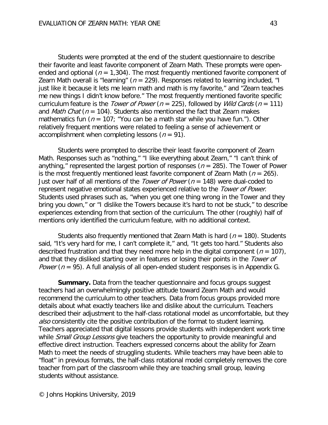Students were prompted at the end of the student questionnaire to describe their favorite and least favorite component of Zearn Math. These prompts were openended and optional ( $n = 1,304$ ). The most frequently mentioned favorite component of Zearn Math overall is "learning" ( $n = 229$ ). Responses related to learning included, "I just like it because it lets me learn math and math is my favorite," and "Zearn teaches me new things I didn't know before." The most frequently mentioned favorite specific curriculum feature is the *Tower of Power* ( $n = 225$ ), followed by *Wild Cards* ( $n = 111$ ) and *Math Chat* ( $n = 104$ ). Students also mentioned the fact that Zearn makes mathematics fun ( $n = 107$ ; "You can be a math star while you have fun."). Other relatively frequent mentions were related to feeling a sense of achievement or accomplishment when completing lessons ( $n = 91$ ).

Students were prompted to describe their least favorite component of Zearn Math. Responses such as "nothing," "I like everything about Zearn," "I can't think of anything," represented the largest portion of responses ( $n = 285$ ). The Tower of Power is the most frequently mentioned least favorite component of Zearn Math ( $n = 265$ ). Just over half of all mentions of the *Tower of Power* ( $n = 148$ ) were dual-coded to represent negative emotional states experienced relative to the *Tower of Power*. Students used phrases such as, "when you get one thing wrong in the Tower and they bring you down," or "I dislike the Towers because it's hard to not be stuck," to describe experiences extending from that section of the curriculum. The other (roughly) half of mentions only identified the curriculum feature, with no additional context.

Students also frequently mentioned that Zearn Math is hard ( $n = 180$ ). Students said, "It's very hard for me, I can't complete it," and, "It gets too hard." Students also described frustration and that they need more help in the digital component ( $n = 107$ ), and that they disliked starting over in features or losing their points in the Tower of *Power* ( $n = 95$ ). A full analysis of all open-ended student responses is in Appendix G.

**Summary.** Data from the teacher questionnaire and focus groups suggest teachers had an overwhelmingly positive attitude toward Zearn Math and would recommend the curriculum to other teachers. Data from focus groups provided more details about what exactly teachers like and dislike about the curriculum. Teachers described their adjustment to the half-class rotational model as uncomfortable, but they also consistently cite the positive contribution of the format to student learning. Teachers appreciated that digital lessons provide students with independent work time while Small Group Lessons give teachers the opportunity to provide meaningful and effective direct instruction. Teachers expressed concerns about the ability for Zearn Math to meet the needs of struggling students. While teachers may have been able to "float" in previous formats, the half-class rotational model completely removes the core teacher from part of the classroom while they are teaching small group, leaving students without assistance.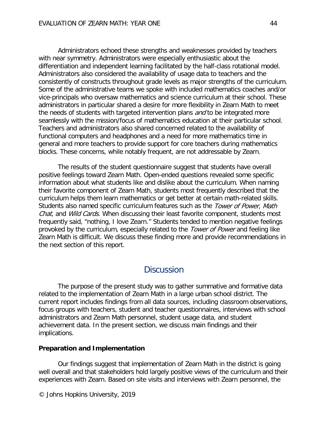Administrators echoed these strengths and weaknesses provided by teachers with near symmetry. Administrators were especially enthusiastic about the differentiation and independent learning facilitated by the half-class rotational model. Administrators also considered the availability of usage data to teachers and the consistently of constructs throughout grade levels as major strengths of the curriculum. Some of the administrative teams we spoke with included mathematics coaches and/or vice-principals who oversaw mathematics and science curriculum at their school. These administrators in particular shared a desire for more flexibility in Zearn Math to meet the needs of students with targeted intervention plans and to be integrated more seamlessly with the mission/focus of mathematics education at their particular school. Teachers and administrators also shared concerned related to the availability of functional computers and headphones and a need for more mathematics time in general and more teachers to provide support for core teachers during mathematics blocks. These concerns, while notably frequent, are not addressable by Zearn.

The results of the student questionnaire suggest that students have overall positive feelings toward Zearn Math. Open-ended questions revealed some specific information about what students like and dislike about the curriculum. When naming their favorite component of Zearn Math, students most frequently described that the curriculum helps them learn mathematics or get better at certain math-related skills. Students also named specific curriculum features such as the Tower of Power, Math Chat, and Wild Cards. When discussing their least favorite component, students most frequently said, "nothing, I love Zearn." Students tended to mention negative feelings provoked by the curriculum, especially related to the Tower of Power and feeling like Zearn Math is difficult. We discuss these finding more and provide recommendations in the next section of this report.

## **Discussion**

The purpose of the present study was to gather summative and formative data related to the implementation of Zearn Math in a large urban school district. The current report includes findings from all data sources, including classroom observations, focus groups with teachers, student and teacher questionnaires, interviews with school administrators and Zearn Math personnel, student usage data, and student achievement data. In the present section, we discuss main findings and their implications.

#### **Preparation and Implementation**

Our findings suggest that implementation of Zearn Math in the district is going well overall and that stakeholders hold largely positive views of the curriculum and their experiences with Zearn. Based on site visits and interviews with Zearn personnel, the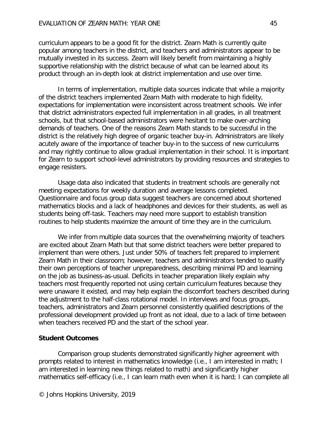curriculum appears to be a good fit for the district. Zearn Math is currently quite popular among teachers in the district, and teachers and administrators appear to be mutually invested in its success. Zearn will likely benefit from maintaining a highly supportive relationship with the district because of what can be learned about its product through an in-depth look at district implementation and use over time.

In terms of implementation, multiple data sources indicate that while a majority of the district teachers implemented Zearn Math with moderate to high fidelity, expectations for implementation were inconsistent across treatment schools. We infer that district administrators expected full implementation in all grades, in all treatment schools, but that school-based administrators were hesitant to make over-arching demands of teachers. One of the reasons Zearn Math stands to be successful in the district is the relatively high degree of organic teacher buy-in. Administrators are likely acutely aware of the importance of teacher buy-in to the success of new curriculums and may rightly continue to allow gradual implementation in their school. It is important for Zearn to support school-level administrators by providing resources and strategies to engage resisters.

Usage data also indicated that students in treatment schools are generally not meeting expectations for weekly duration and average lessons completed. Questionnaire and focus group data suggest teachers are concerned about shortened mathematics blocks and a lack of headphones and devices for their students, as well as students being off-task. Teachers may need more support to establish transition routines to help students maximize the amount of time they are in the curriculum.

We infer from multiple data sources that the overwhelming majority of teachers are excited about Zearn Math but that some district teachers were better prepared to implement than were others. Just under 50% of teachers felt prepared to implement Zearn Math in their classroom; however, teachers and administrators tended to qualify their own perceptions of teacher unpreparedness, describing minimal PD and learning on the job as business-as-usual. Deficits in teacher preparation likely explain why teachers most frequently reported not using certain curriculum features because they were unaware it existed, and may help explain the discomfort teachers described during the adjustment to the half-class rotational model. In interviews and focus groups, teachers, administrators and Zearn personnel consistently qualified descriptions of the professional development provided up front as not ideal, due to a lack of time between when teachers received PD and the start of the school year.

#### **Student Outcomes**

Comparison group students demonstrated significantly higher agreement with prompts related to interest in mathematics knowledge (i.e., I am interested in math; I am interested in learning new things related to math) and significantly higher mathematics self-efficacy (i.e., I can learn math even when it is hard; I can complete all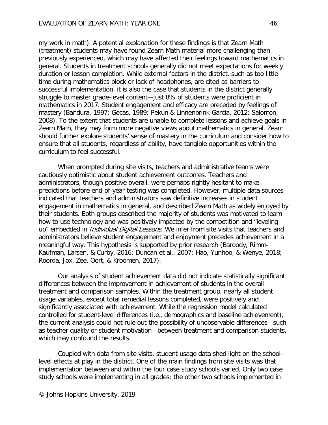my work in math). A potential explanation for these findings is that Zearn Math (treatment) students may have found Zearn Math material more challenging than previously experienced, which may have affected their feelings toward mathematics in general. Students in treatment schools generally did not meet expectations for weekly duration or lesson completion. While external factors in the district, such as too little time during mathematics block or lack of headphones, are cited as barriers to successful implementation, it is also the case that students in the district generally struggle to master grade-level content—just 8% of students were proficient in mathematics in 2017. Student engagement and efficacy are preceded by feelings of mastery (Bandura, 1997; Gecas, 1989; Pekun & Linnenbrink-Garcia, 2012; Salomon, 2008). To the extent that students are unable to complete lessons and achieve goals in Zearn Math, they may form more negative views about mathematics in general. Zearn should further explore students' sense of mastery in the curriculum and consider how to ensure that all students, regardless of ability, have tangible opportunities within the curriculum to feel successful.

When prompted during site visits, teachers and administrative teams were cautiously optimistic about student achievement outcomes. Teachers and administrators, though positive overall, were perhaps rightly hesitant to make predictions before end-of-year testing was completed. However, multiple data sources indicated that teachers and administrators saw definitive increases in student engagement in mathematics in general, and described Zearn Math as widely enjoyed by their students. Both groups described the majority of students was motivated to learn how to use technology and was positively impacted by the competition and "leveling up" embedded in *Individual Digital Lessons*. We infer from site visits that teachers and administrators believe student engagement and enjoyment precedes achievement in a meaningful way. This hypothesis is supported by prior research (Baroody, Rimm-Kaufman, Larsen, & Curby, 2016; Duncan et al., 2007; Hao, Yunhoo, & Wenye, 2018; Roorda, Jox, Zee, Oort, & Kroomen, 2017).

Our analysis of student achievement data did not indicate statistically significant differences between the improvement in achievement of students in the overall treatment and comparison samples. Within the treatment group, nearly all student usage variables, except total remedial lessons completed, were positively and significantly associated with achievement. While the regression model calculated controlled for student-level differences (i.e., demographics and baseline achievement), the current analysis could not rule out the possibility of unobservable differences—such as teacher quality or student motivation—between treatment and comparison students, which may confound the results.

Coupled with data from site visits, student usage data shed light on the schoollevel effects at play in the district. One of the main findings from site visits was that implementation between and within the four case study schools varied. Only two case study schools were implementing in all grades; the other two schools implemented in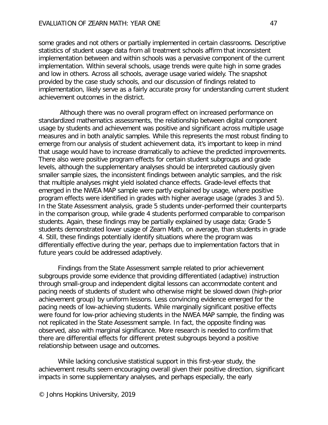some grades and not others or partially implemented in certain classrooms. Descriptive statistics of student usage data from all treatment schools affirm that inconsistent implementation between and within schools was a pervasive component of the current implementation. Within several schools, usage trends were quite high in some grades and low in others. Across all schools, average usage varied widely. The snapshot provided by the case study schools, and our discussion of findings related to implementation, likely serve as a fairly accurate proxy for understanding current student achievement outcomes in the district.

Although there was no overall program effect on increased performance on standardized mathematics assessments, the relationship between digital component usage by students and achievement was positive and significant across multiple usage measures and in both analytic samples. While this represents the most robust finding to emerge from our analysis of student achievement data, it's important to keep in mind that usage would have to increase dramatically to achieve the predicted improvements. There also were positive program effects for certain student subgroups and grade levels, although the supplementary analyses should be interpreted cautiously given smaller sample sizes, the inconsistent findings between analytic samples, and the risk that multiple analyses might yield isolated chance effects. Grade-level effects that emerged in the NWEA MAP sample were partly explained by usage, where positive program effects were identified in grades with higher average usage (grades 3 and 5). In the State Assessment analysis, grade 5 students under-performed their counterparts in the comparison group, while grade 4 students performed comparable to comparison students. Again, these findings may be partially explained by usage data; Grade 5 students demonstrated lower usage of Zearn Math, on average, than students in grade 4. Still, these findings potentially identify situations where the program was differentially effective during the year, perhaps due to implementation factors that in future years could be addressed adaptively.

Findings from the State Assessment sample related to prior achievement subgroups provide some evidence that providing differentiated (adaptive) instruction through small-group and independent digital lessons can accommodate content and pacing needs of students of student who otherwise might be slowed down (high-prior achievement group) by uniform lessons. Less convincing evidence emerged for the pacing needs of low-achieving students. While marginally significant positive effects were found for low-prior achieving students in the NWEA MAP sample, the finding was not replicated in the State Assessment sample. In fact, the opposite finding was observed, also with marginal significance. More research is needed to confirm that there are differential effects for different pretest subgroups beyond a positive relationship between usage and outcomes.

While lacking conclusive statistical support in this first-year study, the achievement results seem encouraging overall given their positive direction, significant impacts in some supplementary analyses, and perhaps especially, the early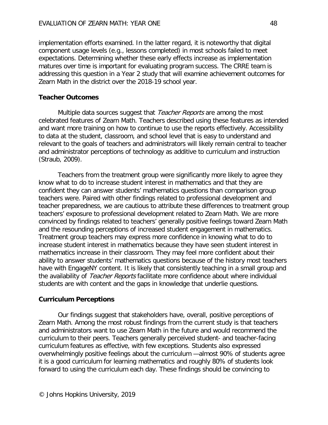implementation efforts examined. In the latter regard, it is noteworthy that digital component usage levels (e.g., lessons completed) in most schools failed to meet expectations. Determining whether these early effects increase as implementation matures over time is important for evaluating program success. The CRRE team is addressing this question in a Year 2 study that will examine achievement outcomes for Zearn Math in the district over the 2018-19 school year.

### **Teacher Outcomes**

Multiple data sources suggest that *Teacher Reports* are among the most celebrated features of Zearn Math. Teachers described using these features as intended and want more training on how to continue to use the reports effectively. Accessibility to data at the student, classroom, and school level that is easy to understand and relevant to the goals of teachers and administrators will likely remain central to teacher and administrator perceptions of technology as additive to curriculum and instruction (Straub, 2009).

Teachers from the treatment group were significantly more likely to agree they know what to do to increase student interest in mathematics and that they are confident they can answer students' mathematics questions than comparison group teachers were. Paired with other findings related to professional development and teacher preparedness, we are cautious to attribute these differences to treatment group teachers' exposure to professional development related to Zearn Math. We are more convinced by findings related to teachers' generally positive feelings toward Zearn Math and the resounding perceptions of increased student engagement in mathematics. Treatment group teachers may express more confidence in knowing what to do to increase student interest in mathematics because they have seen student interest in mathematics increase in their classroom. They may feel more confident about their ability to answer students' mathematics questions because of the history most teachers have with EngageNY content. It is likely that consistently teaching in a small group and the availability of Teacher Reports facilitate more confidence about where individual students are with content and the gaps in knowledge that underlie questions.

### **Curriculum Perceptions**

Our findings suggest that stakeholders have, overall, positive perceptions of Zearn Math. Among the most robust findings from the current study is that teachers and administrators want to use Zearn Math in the future and would recommend the curriculum to their peers. Teachers generally perceived student- and teacher-facing curriculum features as effective, with few exceptions. Students also expressed overwhelmingly positive feelings about the curriculum —almost 90% of students agree it is a good curriculum for learning mathematics and roughly 80% of students look forward to using the curriculum each day. These findings should be convincing to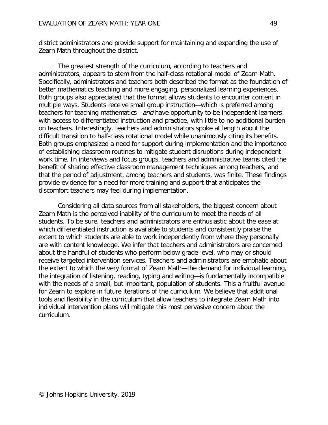district administrators and provide support for maintaining and expanding the use of Zearn Math throughout the district.

The greatest strength of the curriculum, according to teachers and administrators, appears to stem from the half-class rotational model of Zearn Math. Specifically, administrators and teachers both described the format as the foundation of better mathematics teaching and more engaging, personalized learning experiences. Both groups also appreciated that the format allows students to encounter content in multiple ways. Students receive small group instruction—which is preferred among teachers for teaching mathematics—and have opportunity to be independent learners with access to differentiated instruction and practice, with little to no additional burden on teachers. Interestingly, teachers and administrators spoke at length about the difficult transition to half-class rotational model while unanimously citing its benefits. Both groups emphasized a need for support during implementation and the importance of establishing classroom routines to mitigate student disruptions during independent work time. In interviews and focus groups, teachers and administrative teams cited the benefit of sharing effective classroom management techniques among teachers, and that the period of adjustment, among teachers and students, was finite. These findings provide evidence for a need for more training and support that anticipates the discomfort teachers may feel during implementation.

Considering all data sources from all stakeholders, the biggest concern about Zearn Math is the perceived inability of the curriculum to meet the needs of all students. To be sure, teachers and administrators are enthusiastic about the ease at which differentiated instruction is available to students and consistently praise the extent to which students are able to work independently from where they personally are with content knowledge. We infer that teachers and administrators are concerned about the handful of students who perform below grade-level, who may or should receive targeted intervention services. Teachers and administrators are emphatic about the extent to which the very format of Zearn Math—the demand for individual learning, the integration of listening, reading, typing and writing—is fundamentally incompatible with the needs of a small, but important, population of students. This a fruitful avenue for Zearn to explore in future iterations of the curriculum. We believe that additional tools and flexibility in the curriculum that allow teachers to integrate Zearn Math into individual intervention plans will mitigate this most pervasive concern about the curriculum.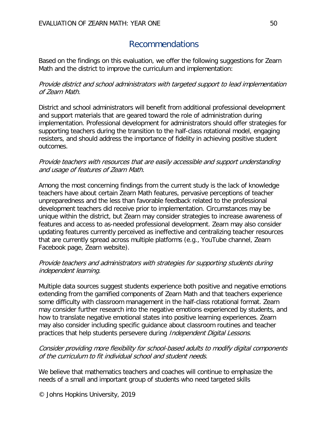# Recommendations

Based on the findings on this evaluation, we offer the following suggestions for Zearn Math and the district to improve the curriculum and implementation:

### Provide district and school administrators with targeted support to lead implementation of Zearn Math.

District and school administrators will benefit from additional professional development and support materials that are geared toward the role of administration during implementation. Professional development for administrators should offer strategies for supporting teachers during the transition to the half-class rotational model, engaging resisters, and should address the importance of fidelity in achieving positive student outcomes.

### Provide teachers with resources that are easily accessible and support understanding and usage of features of Zearn Math.

Among the most concerning findings from the current study is the lack of knowledge teachers have about certain Zearn Math features, pervasive perceptions of teacher unpreparedness and the less than favorable feedback related to the professional development teachers did receive prior to implementation. Circumstances may be unique within the district, but Zearn may consider strategies to increase awareness of features and access to as-needed professional development. Zearn may also consider updating features currently perceived as ineffective and centralizing teacher resources that are currently spread across multiple platforms (e.g., YouTube channel, Zearn Facebook page, Zearn website).

### Provide teachers and administrators with strategies for supporting students during independent learning.

Multiple data sources suggest students experience both positive and negative emotions extending from the gamified components of Zearn Math and that teachers experience some difficulty with classroom management in the half-class rotational format. Zearn may consider further research into the negative emotions experienced by students, and how to translate negative emotional states into positive learning experiences. Zearn may also consider including specific guidance about classroom routines and teacher practices that help students persevere during *Independent Digital Lessons*.

### Consider providing more flexibility for school-based adults to modify digital components of the curriculum to fit individual school and student needs.

We believe that mathematics teachers and coaches will continue to emphasize the needs of a small and important group of students who need targeted skills

© Johns Hopkins University, 2019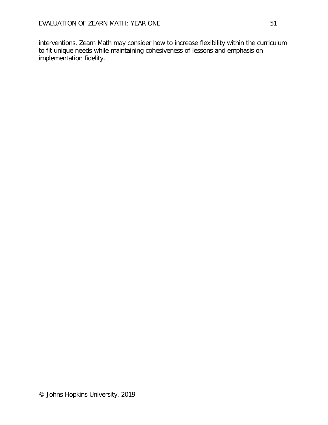interventions. Zearn Math may consider how to increase flexibility within the curriculum to fit unique needs while maintaining cohesiveness of lessons and emphasis on implementation fidelity.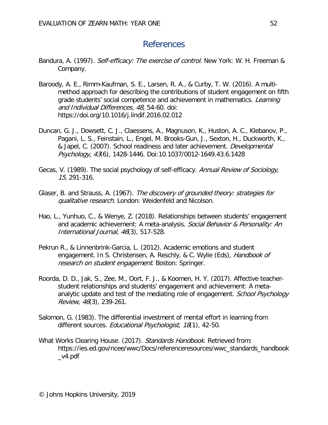## References

- Bandura, A. (1997). *Self-efficacy: The exercise of control*. New York: W. H. Freeman & Company.
- Baroody, A. E., Rimm-Kaufman, S. E., Larsen, R. A., & Curby, T. W. (2016). A multimethod approach for describing the contributions of student engagement on fifth grade students' social competence and achievement in mathematics. Learning and Individual Differences, 48, 54-60. doi: [https://doi.org/10.1016/j.lindif.2016.02.012](https://doi-org.proxy1.library.jhu.edu/10.1016/j.lindif.2016.02.012)
- Duncan, G. J., Dowsett, C. J., Claessens, A., Magnuson, K., Huston, A. C., Klebanov, P., Pagani, L. S., Feinstain, L., Engel, M. Brooks-Gun, J., Sexton, H., Duckworth, K., & Japel, C. (2007). School readiness and later achievement. Developmental Psychology, 43(6), 1428-1446. Doi:10.1037/0012-1649.43.6.1428
- Gecas, V. (1989). The social psychology of self-efficacy. Annual Review of Sociology, 15, 291-316.
- Glaser, B. and Strauss, A. (1967). The discovery of grounded theory: strategies for qualitative research. London: Weidenfeld and Nicolson.
- Hao, L., Yunhuo, C., & Wenye, Z. (2018). Relationships between students' engagement and academic achievement: A meta-analysis. Social Behavior & Personality: An International Journal, 46(3), 517-528.
- Pekrun R., & Linnenbrink-Garcia, L. (2012). Academic emotions and student engagement. In S. Christensen, A. Reschly, & C. Wylie (Eds), Handbook of research on student engagement. Boston: Springer.
- Roorda, D. D., Jak, S., Zee, M., Oort, F. J., & Koomen, H. Y. (2017). Affective teacherstudent relationships and students' engagement and achievement: A metaanalytic update and test of the mediating role of engagement. School Psychology Review, 46(3), 239-261.
- Salomon, G. (1983). The differential investment of mental effort in learning from different sources. Educational Psychologist, 18(1), 42-50.
- What Works Clearing House. (2017). Standards Handbook. Retrieved from: https://ies.ed.gov/ncee/wwc/Docs/referenceresources/wwc\_standards\_handbook \_v4.pdf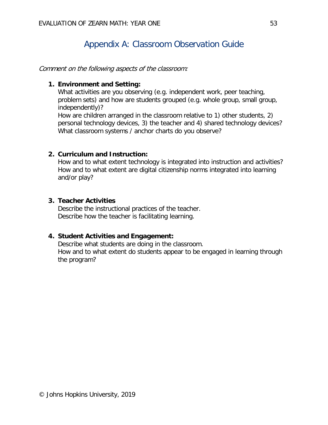# Appendix A: Classroom Observation Guide

Comment on the following aspects of the classroom:

### **1. Environment and Setting:**

What activities are you observing (e.g. independent work, peer teaching, problem sets) and how are students grouped (e.g. whole group, small group, independently)?

How are children arranged in the classroom relative to 1) other students, 2) personal technology devices, 3) the teacher and 4) shared technology devices? What classroom systems / anchor charts do you observe?

### **2. Curriculum and Instruction:**

How and to what extent technology is integrated into instruction and activities? How and to what extent are digital citizenship norms integrated into learning and/or play?

### **3. Teacher Activities**

Describe the instructional practices of the teacher. Describe how the teacher is facilitating learning.

### **4. Student Activities and Engagement:**

Describe what students are doing in the classroom. How and to what extent do students appear to be engaged in learning through the program?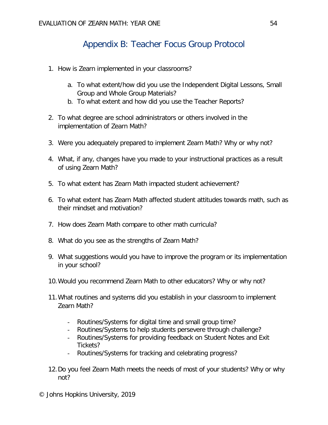# Appendix B: Teacher Focus Group Protocol

- 1. How is Zearn implemented in your classrooms?
	- a. To what extent/how did you use the Independent Digital Lessons, Small Group and Whole Group Materials?
	- b. To what extent and how did you use the Teacher Reports?
- 2. To what degree are school administrators or others involved in the implementation of Zearn Math?
- 3. Were you adequately prepared to implement Zearn Math? Why or why not?
- 4. What, if any, changes have you made to your instructional practices as a result of using Zearn Math?
- 5. To what extent has Zearn Math impacted student achievement?
- 6. To what extent has Zearn Math affected student attitudes towards math, such as their mindset and motivation?
- 7. How does Zearn Math compare to other math curricula?
- 8. What do you see as the strengths of Zearn Math?
- 9. What suggestions would you have to improve the program or its implementation in your school?
- 10.Would you recommend Zearn Math to other educators? Why or why not?
- 11.What routines and systems did you establish in your classroom to implement Zearn Math?
	- Routines/Systems for digital time and small group time?
	- Routines/Systems to help students persevere through challenge?
	- Routines/Systems for providing feedback on Student Notes and Exit Tickets?
	- Routines/Systems for tracking and celebrating progress?
- 12.Do you feel Zearn Math meets the needs of most of your students? Why or why not?

© Johns Hopkins University, 2019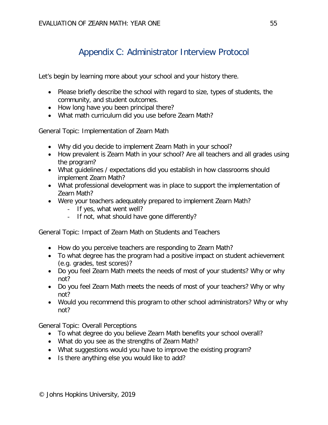# Appendix C: Administrator Interview Protocol

Let's begin by learning more about your school and your history there.

- Please briefly describe the school with regard to size, types of students, the community, and student outcomes.
- How long have you been principal there?
- What math curriculum did you use before Zearn Math?

General Topic: Implementation of Zearn Math

- Why did you decide to implement Zearn Math in your school?
- How prevalent is Zearn Math in your school? Are all teachers and all grades using the program?
- What guidelines / expectations did you establish in how classrooms should implement Zearn Math?
- What professional development was in place to support the implementation of Zearn Math?
- Were your teachers adequately prepared to implement Zearn Math?
	- If yes, what went well?
	- If not, what should have gone differently?

General Topic: Impact of Zearn Math on Students and Teachers

- How do you perceive teachers are responding to Zearn Math?
- To what degree has the program had a positive impact on student achievement (e.g. grades, test scores)?
- Do you feel Zearn Math meets the needs of most of your students? Why or why not?
- Do you feel Zearn Math meets the needs of most of your teachers? Why or why not?
- Would you recommend this program to other school administrators? Why or why not?

General Topic: Overall Perceptions

- To what degree do you believe Zearn Math benefits your school overall?
- What do you see as the strengths of Zearn Math?
- What suggestions would you have to improve the existing program?
- Is there anything else you would like to add?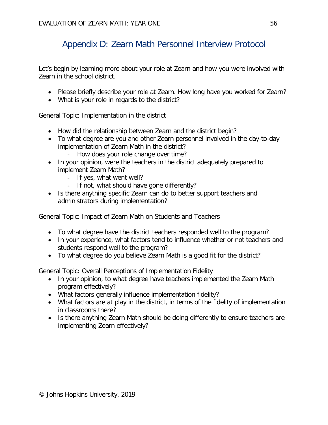# Appendix D: Zearn Math Personnel Interview Protocol

Let's begin by learning more about your role at Zearn and how you were involved with Zearn in the school district.

- Please briefly describe your role at Zearn. How long have you worked for Zearn?
- What is your role in regards to the district?

General Topic: Implementation in the district

- How did the relationship between Zearn and the district begin?
- To what degree are you and other Zearn personnel involved in the day-to-day implementation of Zearn Math in the district?
	- How does your role change over time?
- In your opinion, were the teachers in the district adequately prepared to implement Zearn Math?
	- If yes, what went well?
	- If not, what should have gone differently?
- Is there anything specific Zearn can do to better support teachers and administrators during implementation?

General Topic: Impact of Zearn Math on Students and Teachers

- To what degree have the district teachers responded well to the program?
- In your experience, what factors tend to influence whether or not teachers and students respond well to the program?
- To what degree do you believe Zearn Math is a good fit for the district?

General Topic: Overall Perceptions of Implementation Fidelity

- In your opinion, to what degree have teachers implemented the Zearn Math program effectively?
- What factors generally influence implementation fidelity?
- What factors are at play in the district, in terms of the fidelity of implementation in classrooms there?
- Is there anything Zearn Math should be doing differently to ensure teachers are implementing Zearn effectively?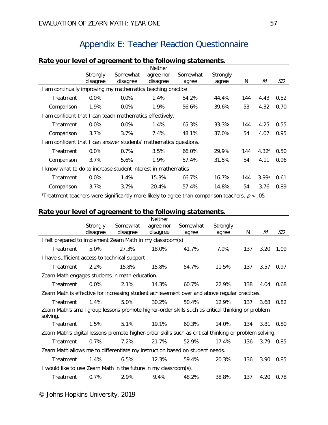# Appendix E: Teacher Reaction Questionnaire

|                                                                   |          |          | <b>Neither</b> |          |          |     |                   |      |
|-------------------------------------------------------------------|----------|----------|----------------|----------|----------|-----|-------------------|------|
|                                                                   | Strongly | Somewhat | agree nor      | Somewhat | Strongly |     |                   |      |
|                                                                   | disagree | disagree | disagree       | agree    | agree    | N   | M                 | SD   |
| I am continually improving my mathematics teaching practice       |          |          |                |          |          |     |                   |      |
| Treatment                                                         | $0.0\%$  | $0.0\%$  | 1.4%           | 54.2%    | 44.4%    | 144 | 4.43              | 0.52 |
| Comparison                                                        | 1.9%     | $0.0\%$  | 1.9%           | 56.6%    | 39.6%    | 53  | 4.32              | 0.70 |
| I am confident that I can teach mathematics effectively.          |          |          |                |          |          |     |                   |      |
| Treatment                                                         | $0.0\%$  | $0.0\%$  | 1.4%           | 65.3%    | 33.3%    | 144 | 4.25              | 0.55 |
| Comparison                                                        | 3.7%     | 3.7%     | 7.4%           | 48.1%    | 37.0%    | 54  | 4.07              | 0.95 |
| I am confident that I can answer students' mathematics questions. |          |          |                |          |          |     |                   |      |
| Treatment                                                         | $0.0\%$  | 0.7%     | 3.5%           | 66.0%    | 29.9%    | 144 | 4.32 <sup>a</sup> | 0.50 |
| Comparison                                                        | 3.7%     | 5.6%     | 1.9%           | 57.4%    | 31.5%    | 54  | 4.11              | 0.96 |
| I know what to do to increase student interest in mathematics     |          |          |                |          |          |     |                   |      |
| Treatment                                                         | $0.0\%$  | 1.4%     | 15.3%          | 66.7%    | 16.7%    | 144 | 3.99a             | 0.61 |
| Comparison                                                        | 3.7%     | 3.7%     | 20.4%          | 57.4%    | 14.8%    | 54  | 3.76              | 0.89 |

### **Rate your level of agreement to the following statements.**

<sup>a</sup>Treatment teachers were significantly more likely to agree than comparison teachers,  $p$  < .05

### **Rate your level of agreement to the following statements.**

|                                                                                                               | Strongly | Somewhat | <b>Neither</b><br>agree nor | Somewhat | Strongly |     |      |      |
|---------------------------------------------------------------------------------------------------------------|----------|----------|-----------------------------|----------|----------|-----|------|------|
|                                                                                                               | disagree | disagree | disagree                    | agree    | agree    | N.  | M    | SD   |
| I felt prepared to implement Zearn Math in my classroom(s)                                                    |          |          |                             |          |          |     |      |      |
| Treatment                                                                                                     | 5.0%     | 27.3%    | 18.0%                       | 41.7%    | 7.9%     | 137 | 3.20 | 1.09 |
| I have sufficient access to technical support                                                                 |          |          |                             |          |          |     |      |      |
| Treatment                                                                                                     | 2.2%     | 15.8%    | 15.8%                       | 54.7%    | 11.5%    | 137 | 3.57 | 0.97 |
| Zearn Math engages students in math education.                                                                |          |          |                             |          |          |     |      |      |
| Treatment                                                                                                     | $0.0\%$  | 2.1%     | 14.3%                       | 60.7%    | 22.9%    | 138 | 4.04 | 0.68 |
| Zearn Math is effective for increasing student achievement over and above regular practices.                  |          |          |                             |          |          |     |      |      |
| Treatment                                                                                                     | 1.4%     | 5.0%     | 30.2%                       | 50.4%    | 12.9%    | 137 | 3.68 | 0.82 |
| Zearn Math's small group lessons promote higher-order skills such as critical thinking or problem<br>solving. |          |          |                             |          |          |     |      |      |
| <b>Treatment</b>                                                                                              | 1.5%     | 5.1%     | 19.1%                       | 60.3%    | 14.0%    | 134 | 3.81 | 0.80 |
| Zearn Math's digital lessons promote higher-order skills such as critical thinking or problem solving.        |          |          |                             |          |          |     |      |      |
| Treatment                                                                                                     | 0.7%     | 7.2%     | 21.7%                       | 52.9%    | 17.4%    | 136 | 3.79 | 0.85 |
| Zearn Math allows me to differentiate my instruction based on student needs.                                  |          |          |                             |          |          |     |      |      |
| Treatment                                                                                                     | 1.4%     | 6.5%     | 12.3%                       | 59.4%    | 20.3%    | 136 | 3.90 | 0.85 |
| I would like to use Zearn Math in the future in my classroom(s).                                              |          |          |                             |          |          |     |      |      |
| Treatment                                                                                                     | 0.7%     | 2.9%     | 9.4%                        | 48.2%    | 38.8%    | 137 | 4.20 | 0.78 |
|                                                                                                               |          |          |                             |          |          |     |      |      |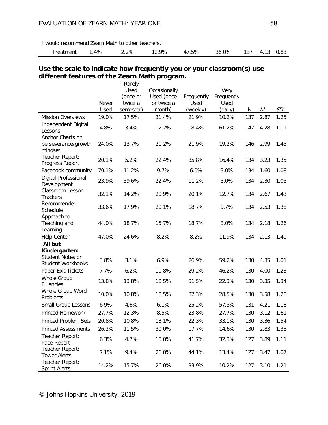I would recommend Zearn Math to other teachers.

|  | Treatment 1.4% 2.2% 12.9% 47.5% 36.0% 137 4.13 0.83 |  |  |  |  |  |  |  |  |
|--|-----------------------------------------------------|--|--|--|--|--|--|--|--|
|--|-----------------------------------------------------|--|--|--|--|--|--|--|--|

### **Use the scale to indicate how frequently you or your classroom(s) use different features of the Zearn Math program.**

|                                              |              | Rarely    |              |            |            |     |      |      |
|----------------------------------------------|--------------|-----------|--------------|------------|------------|-----|------|------|
|                                              |              | Used      | Occasionally |            | Very       |     |      |      |
|                                              |              | (once or  | Used (once   | Frequently | Frequently |     |      |      |
|                                              | <b>Never</b> | twice a   | or twice a   | Used       | Used       |     |      |      |
|                                              | Used         | semester) | month)       | (weekly)   | (daily)    | N   | М    | SD   |
| <b>Mission Overviews</b>                     | 19.0%        | 17.5%     | 31.4%        | 21.9%      | 10.2%      | 137 | 2.87 | 1.25 |
| Independent Digital<br>Lessons               | 4.8%         | 3.4%      | 12.2%        | 18.4%      | 61.2%      | 147 | 4.28 | 1.11 |
| Anchor Charts on<br>perseverance/growth      | 24.0%        | 13.7%     | 21.2%        | 21.9%      | 19.2%      | 146 | 2.99 | 1.45 |
| mindset<br>Teacher Report:                   | 20.1%        | 5.2%      | 22.4%        | 35.8%      | 16.4%      | 134 | 3.23 | 1.35 |
| Progress Report<br>Facebook community        | 70.1%        | 11.2%     | 9.7%         | 6.0%       | 3.0%       | 134 | 1.60 | 1.08 |
| Digital Professional<br>Development          | 23.9%        | 39.6%     | 22.4%        | 11.2%      | 3.0%       | 134 | 2.30 | 1.05 |
| Classroom Lesson<br><b>Trackers</b>          | 32.1%        | 14.2%     | 20.9%        | 20.1%      | 12.7%      | 134 | 2.67 | 1.43 |
| Recommended<br>Schedule                      | 33.6%        | 17.9%     | 20.1%        | 18.7%      | 9.7%       | 134 | 2.53 | 1.38 |
| Approach to<br>Teaching and<br>Learning      | 44.0%        | 18.7%     | 15.7%        | 18.7%      | 3.0%       | 134 | 2.18 | 1.26 |
| <b>Help Center</b>                           | 47.0%        | 24.6%     | 8.2%         | 8.2%       | 11.9%      | 134 | 2.13 | 1.40 |
| All but                                      |              |           |              |            |            |     |      |      |
| Kindergarten:                                |              |           |              |            |            |     |      |      |
| Student Notes or<br><b>Student Workbooks</b> | 3.8%         | 3.1%      | 6.9%         | 26.9%      | 59.2%      | 130 | 4.35 | 1.01 |
| Paper Exit Tickets                           | 7.7%         | 6.2%      | 10.8%        | 29.2%      | 46.2%      | 130 | 4.00 | 1.23 |
| <b>Whole Group</b><br><b>Fluencies</b>       | 13.8%        | 13.8%     | 18.5%        | 31.5%      | 22.3%      | 130 | 3.35 | 1.34 |
| Whole Group Word<br>Problems                 | 10.0%        | 10.8%     | 18.5%        | 32.3%      | 28.5%      | 130 | 3.58 | 1.28 |
| Small Group Lessons                          | 6.9%         | 4.6%      | 6.1%         | 25.2%      | 57.3%      | 131 | 4.21 | 1.18 |
| <b>Printed Homework</b>                      | 27.7%        | 12.3%     | 8.5%         | 23.8%      | 27.7%      | 130 | 3.12 | 1.61 |
| <b>Printed Problem Sets</b>                  | 20.8%        | 10.8%     | 13.1%        | 22.3%      | 33.1%      | 130 | 3.36 | 1.54 |
| <b>Printed Assessments</b>                   | 26.2%        | 11.5%     | 30.0%        | 17.7%      | 14.6%      | 130 | 2.83 | 1.38 |
| Teacher Report:<br>Pace Report               | 6.3%         | 4.7%      | 15.0%        | 41.7%      | 32.3%      | 127 | 3.89 | 1.11 |
| Teacher Report:<br><b>Tower Alerts</b>       | 7.1%         | 9.4%      | 26.0%        | 44.1%      | 13.4%      | 127 | 3.47 | 1.07 |
| Teacher Report:<br><b>Sprint Alerts</b>      | 14.2%        | 15.7%     | 26.0%        | 33.9%      | 10.2%      | 127 | 3.10 | 1.21 |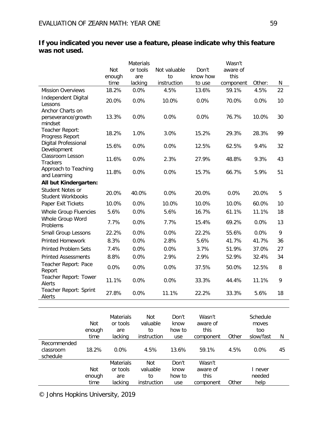|                                                    | Not<br>enough<br>time | Materials<br>or tools<br>are<br>lacking | Not valuable<br>to<br>instruction | Don't<br>know how<br>to use | Wasn't<br>aware of<br>this<br>component | Other: | N  |
|----------------------------------------------------|-----------------------|-----------------------------------------|-----------------------------------|-----------------------------|-----------------------------------------|--------|----|
| <b>Mission Overviews</b>                           | 18.2%                 | 0.0%                                    | 4.5%                              | 13.6%                       | 59.1%                                   | 4.5%   | 22 |
| Independent Digital<br>Lessons                     | 20.0%                 | 0.0%                                    | 10.0%                             | 0.0%                        | 70.0%                                   | 0.0%   | 10 |
| Anchor Charts on<br>perseverance/growth<br>mindset | 13.3%                 | 0.0%                                    | 0.0%                              | 0.0%                        | 76.7%                                   | 10.0%  | 30 |
| Teacher Report:<br>Progress Report                 | 18.2%                 | 1.0%                                    | 3.0%                              | 15.2%                       | 29.3%                                   | 28.3%  | 99 |
| Digital Professional<br>Development                | 15.6%                 | 0.0%                                    | 0.0%                              | 12.5%                       | 62.5%                                   | 9.4%   | 32 |
| Classroom Lesson<br><b>Trackers</b>                | 11.6%                 | 0.0%                                    | 2.3%                              | 27.9%                       | 48.8%                                   | 9.3%   | 43 |
| Approach to Teaching<br>and Learning               | 11.8%                 | 0.0%                                    | 0.0%                              | 15.7%                       | 66.7%                                   | 5.9%   | 51 |
| All but Kindergarten:                              |                       |                                         |                                   |                             |                                         |        |    |
| Student Notes or<br><b>Student Workbooks</b>       | 20.0%                 | 40.0%                                   | 0.0%                              | 20.0%                       | 0.0%                                    | 20.0%  | 5  |
| Paper Exit Tickets                                 | 10.0%                 | 0.0%                                    | 10.0%                             | 10.0%                       | 10.0%                                   | 60.0%  | 10 |
| Whole Group Fluencies                              | 5.6%                  | 0.0%                                    | 5.6%                              | 16.7%                       | 61.1%                                   | 11.1%  | 18 |
| Whole Group Word<br>Problems                       | 7.7%                  | 0.0%                                    | 7.7%                              | 15.4%                       | 69.2%                                   | 0.0%   | 13 |
| Small Group Lessons                                | 22.2%                 | 0.0%                                    | 0.0%                              | 22.2%                       | 55.6%                                   | 0.0%   | 9  |
| <b>Printed Homework</b>                            | 8.3%                  | 0.0%                                    | 2.8%                              | 5.6%                        | 41.7%                                   | 41.7%  | 36 |
| <b>Printed Problem Sets</b>                        | 7.4%                  | 0.0%                                    | 0.0%                              | 3.7%                        | 51.9%                                   | 37.0%  | 27 |
| <b>Printed Assessments</b>                         | 8.8%                  | 0.0%                                    | 2.9%                              | 2.9%                        | 52.9%                                   | 32.4%  | 34 |
| Teacher Report: Pace<br>Report                     | 0.0%                  | 0.0%                                    | 0.0%                              | 37.5%                       | 50.0%                                   | 12.5%  | 8  |
| Teacher Report: Tower<br>Alerts                    | 11.1%                 | 0.0%                                    | 0.0%                              | 33.3%                       | 44.4%                                   | 11.1%  | 9  |
| Teacher Report: Sprint<br>Alerts                   | 27.8%                 | 0.0%                                    | 11.1%                             | 22.2%                       | 33.3%                                   | 5.6%   | 18 |

### **If you indicated you never use a feature, please indicate why this feature was not used.**

|                                      | Not<br>enough | <b>Materials</b><br>or tools<br>are | Not<br>valuable<br>to | Don't<br>know<br>how to | Wasn't<br>aware of<br>this |       | Schedule<br>moves<br>too |    |
|--------------------------------------|---------------|-------------------------------------|-----------------------|-------------------------|----------------------------|-------|--------------------------|----|
|                                      | time          | lacking                             | instruction           | use                     | component                  | Other | slow/fast                | N  |
| Recommended<br>classroom<br>schedule | 18.2%         | $0.0\%$                             | 4.5%                  | 13.6%                   | 59.1%                      | 4.5%  | $0.0\%$                  | 45 |
|                                      |               | <b>Materials</b>                    | Not                   | Don't                   | Wasn't                     |       |                          |    |
|                                      | <b>Not</b>    | or tools                            | valuable              | know                    | aware of                   |       | never                    |    |
|                                      | enough        | are                                 | to                    | how to                  | this                       |       | needed                   |    |
|                                      | time          | lacking                             | instruction           | use                     | component                  | Other | help                     |    |

© Johns Hopkins University, 2019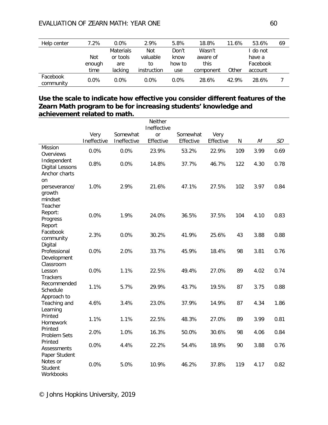| Help center           | 7.2%    | $0.0\%$          | 2.9%        | 5.8%    | 18.8%     | 11.6% | 53.6%    | 69 |
|-----------------------|---------|------------------|-------------|---------|-----------|-------|----------|----|
|                       |         | <b>Materials</b> | Not         | Don't   | Wasn't    |       | do not   |    |
|                       | Not     | or tools         | valuable    | know    | aware of  |       | have a   |    |
|                       | enough  | are              | to          | how to  | this      |       | Facebook |    |
|                       | time    | lacking          | instruction | use     | component | Other | account  |    |
| Facebook<br>community | $0.0\%$ | $0.0\%$          | $0.0\%$     | $0.0\%$ | 28.6%     | 42.9% | 28.6%    |    |

### **Use the scale to indicate how effective you consider different features of the Zearn Math program to be for increasing students' knowledge and achievement related to math.**

| <b>SD</b><br>0.69 |
|-------------------|
|                   |
|                   |
|                   |
|                   |
|                   |
| 0.78              |
|                   |
| 0.84              |
|                   |
| 0.83              |
|                   |
| 0.88              |
| 0.76              |
|                   |
| 0.74              |
| 0.88              |
|                   |
| 1.86              |
| 0.81              |
| 0.84              |
| 0.76              |
|                   |
| 0.82              |
|                   |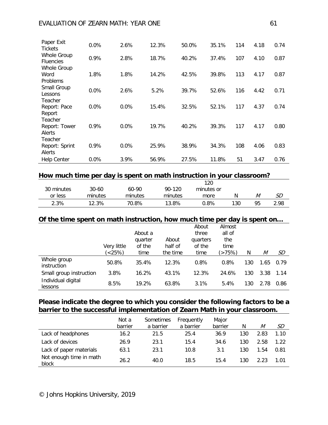### EVALUATION OF ZEARN MATH: YEAR ONE 61

| Paper Exit<br>Tickets                  | 0.0%    | 2.6% | 12.3% | 50.0% | 35.1% | 114 | 4.18 | 0.74 |
|----------------------------------------|---------|------|-------|-------|-------|-----|------|------|
| <b>Whole Group</b><br><b>Fluencies</b> | 0.9%    | 2.8% | 18.7% | 40.2% | 37.4% | 107 | 4.10 | 0.87 |
| <b>Whole Group</b>                     |         |      |       |       |       |     |      |      |
| Word                                   | 1.8%    | 1.8% | 14.2% | 42.5% | 39.8% | 113 | 4.17 | 0.87 |
| Problems                               |         |      |       |       |       |     |      |      |
| Small Group                            | 0.0%    | 2.6% | 5.2%  | 39.7% | 52.6% | 116 | 4.42 | 0.71 |
| Lessons<br>Teacher                     |         |      |       |       |       |     |      |      |
| Report: Pace                           | 0.0%    | 0.0% | 15.4% | 32.5% | 52.1% | 117 | 4.37 | 0.74 |
| Report                                 |         |      |       |       |       |     |      |      |
| Teacher                                |         |      |       |       |       |     |      |      |
| Report: Tower                          | 0.9%    | 0.0% | 19.7% | 40.2% | 39.3% | 117 | 4.17 | 0.80 |
| Alerts                                 |         |      |       |       |       |     |      |      |
| Teacher                                |         |      |       |       |       |     |      |      |
| Report: Sprint                         | 0.9%    | 0.0% | 25.9% | 38.9% | 34.3% | 108 | 4.06 | 0.83 |
| Alerts                                 |         |      |       |       |       |     |      |      |
| <b>Help Center</b>                     | $0.0\%$ | 3.9% | 56.9% | 27.5% | 11.8% | 51  | 3.47 | 0.76 |

### **How much time per day is spent on math instruction in your classroom?**

|            |         |         |         | 120        |     |    |      |
|------------|---------|---------|---------|------------|-----|----|------|
| 30 minutes | 30-60   | 60-90   | 90-120  | minutes or |     |    |      |
| or less    | minutes | minutes | minutes | more       |     | M  | SD   |
| 2.3%       | 12.3%   | 70.8%   | 13.8%   | $0.8\%$    | 130 | 95 | 2.98 |

### **Of the time spent on math instruction, how much time per day is spent on…**

|                               | Very little | About a<br>quarter<br>of the | About<br>half of | About<br>three<br>quarters<br>of the | Almost<br>all of<br>the<br>time |     |      |      |
|-------------------------------|-------------|------------------------------|------------------|--------------------------------------|---------------------------------|-----|------|------|
|                               | (25%)       | time                         | the time         | time                                 | (>75%)                          | N   | М    | SD   |
| Whole group<br>instruction    | 50.8%       | 35.4%                        | 12.3%            | 0.8%                                 | 0.8%                            | 130 | 1.65 | 0.79 |
| Small group instruction       | 3.8%        | 16.2%                        | 43.1%            | 12.3%                                | 24.6%                           | 130 | 3.38 | 1.14 |
| Individual digital<br>lessons | 8.5%        | 19.2%                        | 63.8%            | 3.1%                                 | 5.4%                            | 130 | 2.78 | 0.86 |

### **Please indicate the degree to which you consider the following factors to be a barrier to the successful implementation of Zearn Math in your classroom.**

|                                  | Not a<br>barrier | Sometimes<br>a barrier | Frequently<br>a barrier | Major<br>barrier | N   | М    | SD   |
|----------------------------------|------------------|------------------------|-------------------------|------------------|-----|------|------|
| Lack of headphones               | 16.2             | 21.5                   | 25.4                    | 36.9             | 130 | 2.83 | 1.10 |
| Lack of devices                  | 26.9             | 23.1                   | 15.4                    | 34.6             | 130 | 2.58 | 1.22 |
| Lack of paper materials          | 63.1             | 23.1                   | 10.8                    | 3.1              | 130 | 1.54 | 0.81 |
| Not enough time in math<br>block | 26.2             | 40.0                   | 18.5                    | 15.4             | 130 | 2.23 | 1.01 |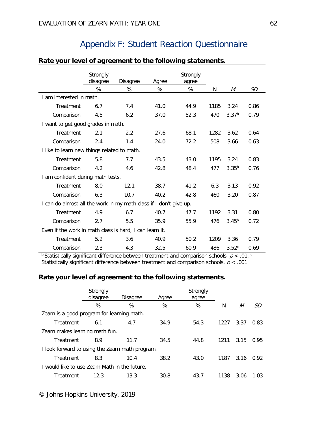# Appendix F: Student Reaction Questionnaire

|                                                                   | Strongly<br>disagree               | Disagree | Agree | Strongly<br>agree |      |                   |      |  |  |
|-------------------------------------------------------------------|------------------------------------|----------|-------|-------------------|------|-------------------|------|--|--|
|                                                                   | %                                  | %        | %     | %                 | N    | М                 | SD   |  |  |
| I am interested in math.                                          |                                    |          |       |                   |      |                   |      |  |  |
| Treatment                                                         | 6.7                                | 7.4      | 41.0  | 44.9              | 1185 | 3.24              | 0.86 |  |  |
| Comparison                                                        | 4.5                                | 6.2      | 37.0  | 52.3              | 470  | 3.37 <sup>b</sup> | 0.79 |  |  |
|                                                                   | I want to get good grades in math. |          |       |                   |      |                   |      |  |  |
| Treatment                                                         | 2.1                                | 2.2      | 27.6  | 68.1              | 1282 | 3.62              | 0.64 |  |  |
| Comparison                                                        | 2.4                                | 1.4      | 24.0  | 72.2              | 508  | 3.66              | 0.63 |  |  |
| I like to learn new things related to math.                       |                                    |          |       |                   |      |                   |      |  |  |
| Treatment                                                         | 5.8                                | 7.7      | 43.5  | 43.0              | 1195 | 3.24              | 0.83 |  |  |
| Comparison                                                        | 4.2                                | 4.6      | 42.8  | 48.4              | 477  | $3.35^{b}$        | 0.76 |  |  |
| I am confident during math tests.                                 |                                    |          |       |                   |      |                   |      |  |  |
| Treatment                                                         | 8.0                                | 12.1     | 38.7  | 41.2              | 6.3  | 3.13              | 0.92 |  |  |
| Comparison                                                        | 6.3                                | 10.7     | 40.2  | 42.8              | 460  | 3.20              | 0.87 |  |  |
| I can do almost all the work in my math class if I don't give up. |                                    |          |       |                   |      |                   |      |  |  |
| Treatment                                                         | 4.9                                | 6.7      | 40.7  | 47.7              | 1192 | 3.31              | 0.80 |  |  |
| Comparison                                                        | 2.7                                | 5.5      | 35.9  | 55.9              | 476  | $3.45^{b}$        | 0.72 |  |  |
| Even if the work in math class is hard, I can learn it.           |                                    |          |       |                   |      |                   |      |  |  |
| Treatment                                                         | 5.2                                | 3.6      | 40.9  | 50.2              | 1209 | 3.36              | 0.79 |  |  |
| Comparison                                                        | 2.3                                | 4.3      | 32.5  | 60.9              | 486  | 3.52c             | 0.69 |  |  |

### **Rate your level of agreement to the following statements.**

<sup>b</sup> Statistically significant difference between treatment and comparison schools,  $p < .01$ . Statistically significant difference between treatment and comparison schools,  $p < .001$ .

### **Rate your level of agreement to the following statements.**

|                                                 | Strongly<br>disagree | <b>Disagree</b> | Agree | Strongly<br>agree |      |      |      |
|-------------------------------------------------|----------------------|-----------------|-------|-------------------|------|------|------|
|                                                 | %                    | %               | %     | %                 | N    | М    | SD.  |
| Zearn is a good program for learning math.      |                      |                 |       |                   |      |      |      |
| Treatment                                       | 6.1                  | 4.7             | 34.9  | 54.3              | 1227 | 3.37 | 0.83 |
| Zearn makes learning math fun.                  |                      |                 |       |                   |      |      |      |
| Treatment                                       | 8.9                  | 11.7            | 34.5  | 44.8              | 1211 | 3.15 | 0.95 |
| I look forward to using the Zearn math program. |                      |                 |       |                   |      |      |      |
| Treatment                                       | 8.3                  | 10.4            | 38.2  | 43.0              | 1187 | 3.16 | 0.92 |
| I would like to use Zearn Math in the future.   |                      |                 |       |                   |      |      |      |
| Treatment                                       | 12.3                 | 13.3            | 30.8  | 43.7              | 1138 | 3.06 | 1.03 |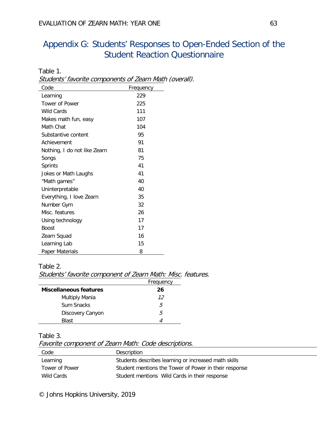# Appendix G: Students' Responses to Open-Ended Section of the Student Reaction Questionnaire

Table 1. Students' favorite components of Zearn Math (overall).

| Code                         | Frequency |
|------------------------------|-----------|
| Learning                     | 229       |
| Tower of Power               | 225       |
| <b>Wild Cards</b>            | 111       |
| Makes math fun, easy         | 107       |
| Math Chat                    | 104       |
| Substantive content          | 95        |
| Achievement                  | 91        |
| Nothing, I do not like Zearn | 81        |
| Songs                        | 75        |
| <b>Sprints</b>               | 41        |
| Jokes or Math Laughs         | 41        |
| "Math games"                 | 40        |
| Uninterpretable              | 40        |
| Everything, I love Zearn     | 35        |
| Number Gym                   | 32        |
| Misc. features               | 26        |
| Using technology             | 17        |
| <b>Boost</b>                 | 17        |
| Zearn Squad                  | 16        |
| Learning Lab                 | 15        |
| Paper Materials              | 8         |

### Table 2.

Students' favorite component of Zearn Math: Misc. features.

|                               | Frequency |
|-------------------------------|-----------|
| <b>Miscellaneous features</b> | 26        |
| <b>Multiply Mania</b>         | 12        |
| Sum Snacks                    | .h        |
| Discovery Canyon              | .h        |
| <b>Blast</b>                  |           |

#### Table 3.

Favorite component of Zearn Math: Code descriptions.

| Code           | Description                                           |
|----------------|-------------------------------------------------------|
| Learning       | Students describes learning or increased math skills  |
| Tower of Power | Student mentions the Tower of Power in their response |
| Wild Cards     | Student mentions Wild Cards in their response         |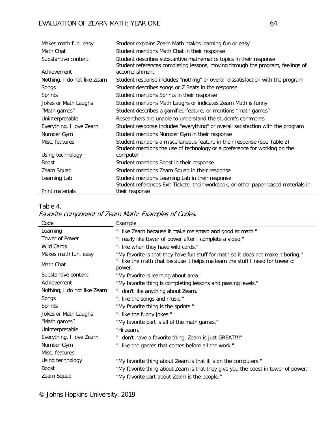| Makes math fun, easy         | Student explains Zearn Math makes learning fun or easy                                                                                                |
|------------------------------|-------------------------------------------------------------------------------------------------------------------------------------------------------|
| Math Chat                    | Student mentions Math Chat in their response                                                                                                          |
| Substantive content          | Student describes substantive mathematics topics in their response<br>Student references completing lessons, moving through the program, feelings of  |
| Achievement                  | accomplishment                                                                                                                                        |
| Nothing, I do not like Zearn | Student response includes "nothing" or overall dissatisfaction with the program                                                                       |
| Songs                        | Student describes songs or Z Beats in the response                                                                                                    |
| <b>Sprints</b>               | Student mentions Sprints in their response                                                                                                            |
| Jokes or Math Laughs         | Student mentions Math Laughs or indicates Zearn Math is funny                                                                                         |
| "Math games"                 | Student describes a gamified feature, or mentions "math games"                                                                                        |
| Uninterpretable              | Researchers are unable to understand the student's comments                                                                                           |
| Everything, I love Zearn     | Student response includes "everything" or overall satisfaction with the program                                                                       |
| Number Gym                   | Student mentions Number Gym in their response                                                                                                         |
| Misc. features               | Student mentions a miscellaneous feature in their response (see Table 2)<br>Student mentions the use of technology or a preference for working on the |
| Using technology             | computer                                                                                                                                              |
| <b>Boost</b>                 | Student mentions Boost in their response                                                                                                              |
| Zearn Squad                  | Student mentions Zearn Squad in their response                                                                                                        |
| Learning Lab                 | Student mentions Learning Lab in their response                                                                                                       |
|                              | Student references Exit Tickets, their workbook, or other paper-based materials in                                                                    |
| Print materials              | their response                                                                                                                                        |

### Table 4.

Favorite component of Zearn Math: Examples of Codes.

| Code                         | Example                                                                                  |
|------------------------------|------------------------------------------------------------------------------------------|
| Learning                     | "I like Zearn because it make me smart and good at math."                                |
| Tower of Power               | "I really like tower of power after I complete a video."                                 |
| <b>Wild Cards</b>            | "I like when they have wild cards."                                                      |
| Makes math fun, easy         | "My favorite is that they have fun stuff for math so it does not make it boring."        |
| Math Chat                    | "I like the math chat because it helps me learn the stuff I need for tower of<br>power." |
| Substantive content          | "My favorite is learning about area."                                                    |
| Achievement                  | "My favorite thing is completing lessons and passing levels."                            |
| Nothing, I do not like Zearn | "I don't like anything about Zearn."                                                     |
| Songs                        | "I like the songs and music."                                                            |
| <b>Sprints</b>               | "My favorite thing is the sprints."                                                      |
| Jokes or Math Laughs         | "I like the funny jokes."                                                                |
| "Math games"                 | "My favorite part is all of the math games."                                             |
| Uninterpretable              | "Hi zearn."                                                                              |
| Everything, I love Zearn     | "I don't have a favorite thing. Zearn is just GREAT!!!"                                  |
| Number Gym                   | "I like the games that comes before all the work."                                       |
| Misc. features               |                                                                                          |
| Using technology             | "My favorite thing about Zearn is that it is on the computers."                          |
| <b>Boost</b>                 | "My favorite thing about Zearn is that they give you the boost in tower of power."       |
| Zearn Squad                  | "My favorite part about Zearn is the people."                                            |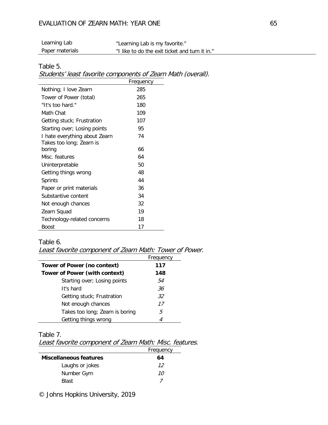#### EVALUATION OF ZEARN MATH: YEAR ONE 65

| Learning Lab    | "Learning Lab is my favorite."                 |
|-----------------|------------------------------------------------|
| Paper materials | "I like to do the exit ticket and turn it in." |

#### Table 5.

Students' least favorite components of Zearn Math (overall).

|                               | Frequency |
|-------------------------------|-----------|
| Nothing; I love Zearn         | 285       |
| Tower of Power (total)        | 265       |
| "It's too hard."              | 180       |
| Math Chat                     | 109       |
| Getting stuck; Frustration    | 107       |
| Starting over; Losing points  | 95        |
| I hate everything about Zearn | 74        |
| Takes too long; Zearn is      |           |
| boring                        | 66        |
| Misc. features                | 64        |
| Uninterpretable               | 50        |
| Getting things wrong          | 48        |
| Sprints                       | 44        |
| Paper or print materials      | 36        |
| Substantive content           | 34        |
| Not enough chances            | 32        |
| Zearn Squad                   | 19        |
| Technology-related concerns   | 18        |
| Boost                         | 17        |

#### Table 6.

Least favorite component of Zearn Math: Tower of Power.

|                                      | Frequency |
|--------------------------------------|-----------|
| <b>Tower of Power (no context)</b>   | 117       |
| <b>Tower of Power (with context)</b> | 148       |
| Starting over; Losing points         | 54        |
| It's hard                            | 36        |
| Getting stuck; Frustration           | 32        |
| Not enough chances                   | 17        |
| Takes too long; Zearn is boring      | 5         |
| Getting things wrong                 |           |

Table 7.

Least favorite component of Zearn Math: Misc. features.

|                               | Frequency |
|-------------------------------|-----------|
| <b>Miscellaneous features</b> | 64        |
| Laughs or jokes               | 12        |
| Number Gym                    | 10        |
| <b>Blast</b>                  |           |

© Johns Hopkins University, 2019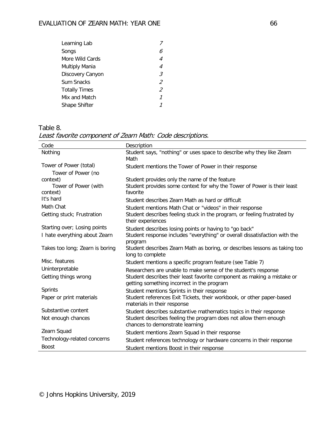| Learning Lab         |    |
|----------------------|----|
| Songs                | 6  |
| More Wild Cards      | 4  |
| Multiply Mania       | 4  |
| Discovery Canyon     | 3. |
| Sum Snacks           | 2  |
| <b>Totally Times</b> | 2  |
| Mix and Match        |    |
| Shape Shifter        |    |
|                      |    |

Table 8. Least favorite component of Zearn Math: Code descriptions.

| Code                            | Description                                                                                                           |
|---------------------------------|-----------------------------------------------------------------------------------------------------------------------|
| Nothing                         | Student says, "nothing" or uses space to describe why they like Zearn<br>Math                                         |
| Tower of Power (total)          | Student mentions the Tower of Power in their response                                                                 |
| Tower of Power (no              |                                                                                                                       |
| context)                        | Student provides only the name of the feature                                                                         |
| Tower of Power (with            | Student provides some context for why the Tower of Power is their least                                               |
| context)                        | favorite                                                                                                              |
| It's hard                       | Student describes Zearn Math as hard or difficult                                                                     |
| Math Chat                       | Student mentions Math Chat or "videos" in their response                                                              |
| Getting stuck; Frustration      | Student describes feeling stuck in the program, or feeling frustrated by<br>their experiences                         |
| Starting over; Losing points    | Student describes losing points or having to "go back"                                                                |
| I hate everything about Zearn   | Student response includes "everything" or overall dissatisfaction with the                                            |
|                                 | program                                                                                                               |
| Takes too long; Zearn is boring | Student describes Zearn Math as boring, or describes lessons as taking too<br>long to complete                        |
| Misc. features                  | Student mentions a specific program feature (see Table 7)                                                             |
| Uninterpretable                 | Researchers are unable to make sense of the student's response                                                        |
| Getting things wrong            | Student describes their least favorite component as making a mistake or<br>getting something incorrect in the program |
| <b>Sprints</b>                  | Student mentions Sprints in their response                                                                            |
| Paper or print materials        | Student references Exit Tickets, their workbook, or other paper-based                                                 |
|                                 | materials in their response                                                                                           |
| Substantive content             | Student describes substantive mathematics topics in their response                                                    |
| Not enough chances              | Student describes feeling the program does not allow them enough                                                      |
|                                 | chances to demonstrate learning                                                                                       |
| Zearn Squad                     | Student mentions Zearn Squad in their response                                                                        |
| Technology-related concerns     | Student references technology or hardware concerns in their response                                                  |
| <b>Boost</b>                    | Student mentions Boost in their response                                                                              |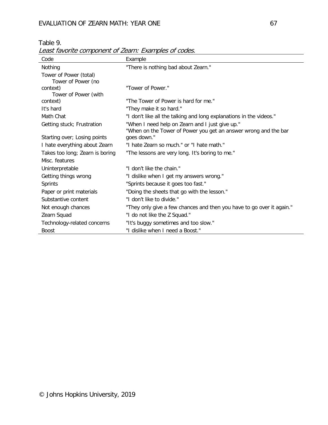# EVALUATION OF ZEARN MATH: YEAR ONE 67

Table 9.

| Least favorite component of Zearn: Examples of codes. |                                                                       |  |  |
|-------------------------------------------------------|-----------------------------------------------------------------------|--|--|
| Code                                                  | Example                                                               |  |  |
| Nothing                                               | "There is nothing bad about Zearn."                                   |  |  |
| Tower of Power (total)                                |                                                                       |  |  |
| Tower of Power (no                                    |                                                                       |  |  |
| context)                                              | "Tower of Power."                                                     |  |  |
| Tower of Power (with                                  |                                                                       |  |  |
| context)                                              | "The Tower of Power is hard for me."                                  |  |  |
| It's hard                                             | "They make it so hard."                                               |  |  |
| Math Chat                                             | "I don't like all the talking and long explanations in the videos."   |  |  |
| Getting stuck; Frustration                            | "When I need help on Zearn and I just give up."                       |  |  |
|                                                       | "When on the Tower of Power you get an answer wrong and the bar       |  |  |
| Starting over; Losing points                          | goes down."                                                           |  |  |
| I hate everything about Zearn                         | "I hate Zearn so much." or "I hate math."                             |  |  |
| Takes too long; Zearn is boring                       | "The lessons are very long. It's boring to me."                       |  |  |
| Misc. features                                        |                                                                       |  |  |
| Uninterpretable                                       | "I don't like the chain."                                             |  |  |
| Getting things wrong                                  | "I dislike when I get my answers wrong."                              |  |  |
| <b>Sprints</b>                                        | "Sprints because it goes too fast."                                   |  |  |
| Paper or print materials                              | "Doing the sheets that go with the lesson."                           |  |  |
| Substantive content                                   | "I don't like to divide."                                             |  |  |
| Not enough chances                                    | "They only give a few chances and then you have to go over it again." |  |  |
| Zearn Squad                                           | "I do not like the Z Squad."                                          |  |  |
| Technology-related concerns                           | "It's buggy sometimes and too slow."                                  |  |  |
| <b>Boost</b>                                          | "I dislike when I need a Boost."                                      |  |  |

Least favorite component of Zearn: Examples of codes.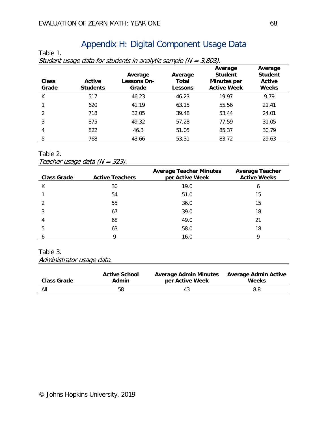# Appendix H: Digital Component Usage Data

| Class<br>Grade | Active<br><b>Students</b> | Average<br>Lessons On-<br>Grade | Average<br>Total<br>Lessons | Average<br><b>Student</b><br><b>Minutes per</b><br><b>Active Week</b> | Average<br><b>Student</b><br>Active<br><b>Weeks</b> |
|----------------|---------------------------|---------------------------------|-----------------------------|-----------------------------------------------------------------------|-----------------------------------------------------|
| К              | 517                       | 46.23                           | 46.23                       | 19.97                                                                 | 9.79                                                |
|                | 620                       | 41.19                           | 63.15                       | 55.56                                                                 | 21.41                                               |
| $\mathfrak{D}$ | 718                       | 32.05                           | 39.48                       | 53.44                                                                 | 24.01                                               |
| 3              | 875                       | 49.32                           | 57.28                       | 77.59                                                                 | 31.05                                               |
| 4              | 822                       | 46.3                            | 51.05                       | 85.37                                                                 | 30.79                                               |
| 5              | 768                       | 43.66                           | 53.31                       | 83.72                                                                 | 29.63                                               |

 $\frac{1}{\sqrt{N}}$  students in analytic sample  $\left(N - \frac{3}{\sqrt{N}}\right)$ 

Table 2.

Table 1.

Teacher usage data (N = 323).

| <b>Class Grade</b> | <b>Active Teachers</b> | <b>Average Teacher Minutes</b><br>per Active Week | <b>Average Teacher</b><br><b>Active Weeks</b> |
|--------------------|------------------------|---------------------------------------------------|-----------------------------------------------|
| К                  | 30                     | 19.0                                              | b                                             |
|                    | 54                     | 51.0                                              | 15                                            |
|                    | 55                     | 36.0                                              | 15                                            |
|                    | 67                     | 39.0                                              | 18                                            |
| 4                  | 68                     | 49.0                                              | 21                                            |
| 5                  | 63                     | 58.0                                              | 18                                            |
|                    | q                      | 16.0                                              |                                               |

#### Table 3.

Administrator usage data.

| <b>Class Grade</b> | <b>Active School</b> | <b>Average Admin Minutes</b> | <b>Average Admin Active</b> |
|--------------------|----------------------|------------------------------|-----------------------------|
|                    | <b>Admin</b>         | per Active Week              | Weeks                       |
| All                | 58                   | 43                           | 8.8                         |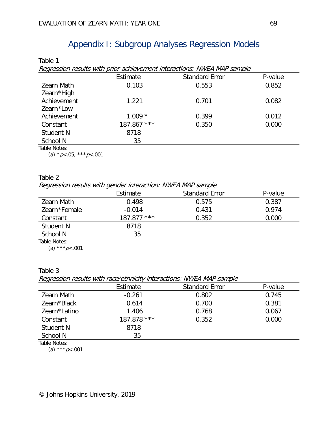# Appendix I: Subgroup Analyses Regression Models

Table 1

Regression results with prior achievement interactions: NWEA MAP sample

|                   | Estimate    | <b>Standard Error</b> | P-value |
|-------------------|-------------|-----------------------|---------|
| <b>Zearn Math</b> | 0.103       | 0.553                 | 0.852   |
| Zearn*High        |             |                       |         |
| Achievement       | 1.221       | 0.701                 | 0.082   |
| Zearn*Low         |             |                       |         |
| Achievement       | $1.009 *$   | 0.399                 | 0.012   |
| Constant          | 187.867 *** | 0.350                 | 0.000   |
| Student N         | 8718        |                       |         |
| School N          | 35          |                       |         |
| Table Notes:      |             |                       |         |

(a)  $*p<.05$ ,  $**p<.001$ 

#### Table 2

Regression results with gender interaction: NWEA MAP sample

|                   | Estimate      | <b>Standard Error</b> | P-value |
|-------------------|---------------|-----------------------|---------|
| <b>Zearn Math</b> | 0.498         | 0.575                 | 0.387   |
| Zearn*Female      | $-0.014$      | 0.431                 | 0.974   |
| Constant          | $187.877$ *** | 0.352                 | 0.000   |
| Student N         | 8718          |                       |         |
| School N          | 35            |                       |         |
| Table Notes:      |               |                       |         |

(a) \*\*\*  $p$  < .001

### Table 3

Regression results with race/ethnicity interactions: NWEA MAP sample

|              | Estimate    | <b>Standard Error</b> | P-value |
|--------------|-------------|-----------------------|---------|
|              |             |                       |         |
| Zearn Math   | $-0.261$    | 0.802                 | 0.745   |
| Zearn*Black  | 0.614       | 0.700                 | 0.381   |
| Zearn*Latino | 1.406       | 0.768                 | 0.067   |
| Constant     | 187.878 *** | 0.352                 | 0.000   |
| Student N    | 8718        |                       |         |
| School N     | 35          |                       |         |
| Table Notes: |             |                       |         |

(a) \*\*\*  $p$  < 001